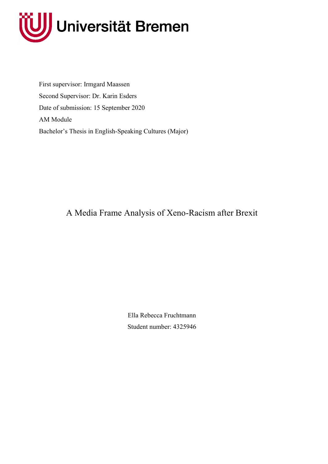

First supervisor: Irmgard Maassen Second Supervisor: Dr. Karin Esders Date of submission: 15 September 2020 AM Module Bachelor's Thesis in English-Speaking Cultures (Major)

# A Media Frame Analysis of Xeno-Racism after Brexit

Ella Rebecca Fruchtmann Student number: 4325946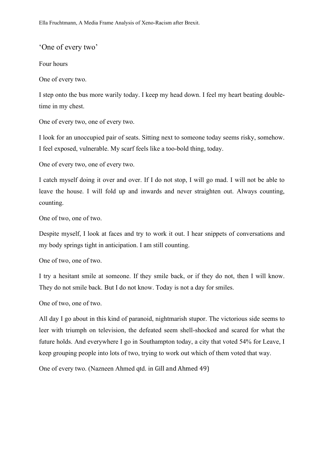Ella Fruchtmann, A Media Frame Analysis of Xeno-Racism after Brexit.

'One of every two'

Four hours

One of every two.

I step onto the bus more warily today. I keep my head down. I feel my heart beating doubletime in my chest.

One of every two, one of every two.

I look for an unoccupied pair of seats. Sitting next to someone today seems risky, somehow. I feel exposed, vulnerable. My scarf feels like a too-bold thing, today.

One of every two, one of every two.

I catch myself doing it over and over. If I do not stop, I will go mad. I will not be able to leave the house. I will fold up and inwards and never straighten out. Always counting, counting.

One of two, one of two.

Despite myself, I look at faces and try to work it out. I hear snippets of conversations and my body springs tight in anticipation. I am still counting.

One of two, one of two.

I try a hesitant smile at someone. If they smile back, or if they do not, then I will know. They do not smile back. But I do not know. Today is not a day for smiles.

One of two, one of two.

All day I go about in this kind of paranoid, nightmarish stupor. The victorious side seems to leer with triumph on television, the defeated seem shell-shocked and scared for what the future holds. And everywhere I go in Southampton today, a city that voted 54% for Leave, I keep grouping people into lots of two, trying to work out which of them voted that way.

One of every two. (Nazneen Ahmed qtd. in Gill and Ahmed 49)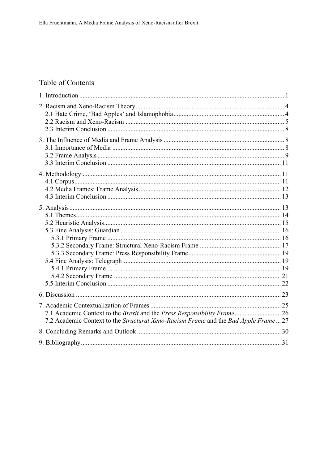# Table of Contents

| 7.1 Academic Context to the Brexit and the Press Responsibility Frame 26<br>7.2 Academic Context to the Structural Xeno-Racism Frame and the Bad Apple Frame  27 |  |
|------------------------------------------------------------------------------------------------------------------------------------------------------------------|--|
|                                                                                                                                                                  |  |
|                                                                                                                                                                  |  |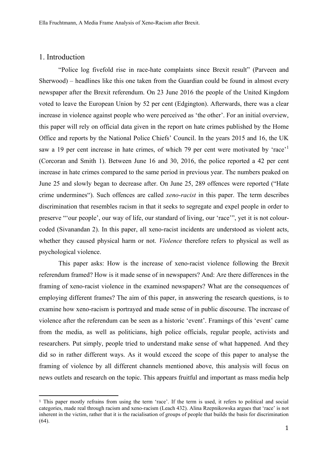### 1. Introduction

"Police log fivefold rise in race-hate complaints since Brexit result" (Parveen and Sherwood) – headlines like this one taken from the Guardian could be found in almost every newspaper after the Brexit referendum. On 23 June 2016 the people of the United Kingdom voted to leave the European Union by 52 per cent (Edgington). Afterwards, there was a clear increase in violence against people who were perceived as 'the other'. For an initial overview, this paper will rely on official data given in the report on hate crimes published by the Home Office and reports by the National Police Chiefs' Council. In the years 2015 and 16, the UK saw a 19 per cent increase in hate crimes, of which 79 per cent were motivated by 'race'<sup>1</sup> (Corcoran and Smith 1). Between June 16 and 30, 2016, the police reported a 42 per cent increase in hate crimes compared to the same period in previous year. The numbers peaked on June 25 and slowly began to decrease after. On June 25, 289 offences were reported ("Hate crime undermines"). Such offences are called *xeno-racist* in this paper. The term describes discrimination that resembles racism in that it seeks to segregate and expel people in order to preserve "'our people', our way of life, our standard of living, our 'race'", yet it is not colourcoded (Sivanandan 2). In this paper, all xeno-racist incidents are understood as violent acts, whether they caused physical harm or not. *Violence* therefore refers to physical as well as psychological violence.

This paper asks: How is the increase of xeno-racist violence following the Brexit referendum framed? How is it made sense of in newspapers? And: Are there differences in the framing of xeno-racist violence in the examined newspapers? What are the consequences of employing different frames? The aim of this paper, in answering the research questions, is to examine how xeno-racism is portrayed and made sense of in public discourse. The increase of violence after the referendum can be seen as a historic 'event'. Framings of this 'event' came from the media, as well as politicians, high police officials, regular people, activists and researchers. Put simply, people tried to understand make sense of what happened. And they did so in rather different ways. As it would exceed the scope of this paper to analyse the framing of violence by all different channels mentioned above, this analysis will focus on news outlets and research on the topic. This appears fruitful and important as mass media help

<sup>1</sup> This paper mostly refrains from using the term 'race'. If the term is used, it refers to political and social categories, made real through racism and xeno-racism (Leach 432). Alina Rzepnikowska argues that 'race' is not inherent in the victim, rather that it is the racialisation of groups of people that builds the basis for discrimination (64).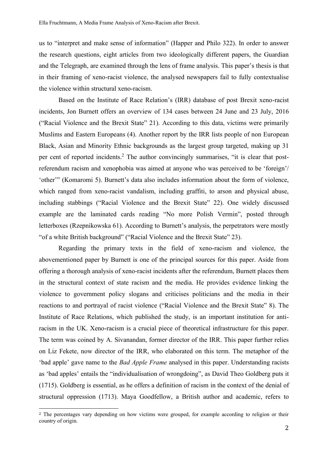us to "interpret and make sense of information" (Happer and Philo 322). In order to answer the research questions, eight articles from two ideologically different papers, the Guardian and the Telegraph, are examined through the lens of frame analysis. This paper's thesis is that in their framing of xeno-racist violence, the analysed newspapers fail to fully contextualise the violence within structural xeno-racism.

Based on the Institute of Race Relation's (IRR) database of post Brexit xeno-racist incidents, Jon Burnett offers an overview of 134 cases between 24 June and 23 July, 2016 ("Racial Violence and the Brexit State" 21). According to this data, victims were primarily Muslims and Eastern Europeans (4). Another report by the IRR lists people of non European Black, Asian and Minority Ethnic backgrounds as the largest group targeted, making up 31 per cent of reported incidents.<sup>2</sup> The author convincingly summarises, "it is clear that postreferendum racism and xenophobia was aimed at anyone who was perceived to be 'foreign'/ 'other'" (Komaromi 5). Burnett's data also includes information about the form of violence, which ranged from xeno-racist vandalism, including graffiti, to arson and physical abuse, including stabbings ("Racial Violence and the Brexit State" 22). One widely discussed example are the laminated cards reading "No more Polish Vermin", posted through letterboxes (Rzepnikowska 61). According to Burnett's analysis, the perpetrators were mostly "of a white British background" ("Racial Violence and the Brexit State" 23).

Regarding the primary texts in the field of xeno-racism and violence, the abovementioned paper by Burnett is one of the principal sources for this paper. Aside from offering a thorough analysis of xeno-racist incidents after the referendum, Burnett places them in the structural context of state racism and the media. He provides evidence linking the violence to government policy slogans and criticises politicians and the media in their reactions to and portrayal of racist violence ("Racial Violence and the Brexit State" 8). The Institute of Race Relations, which published the study, is an important institution for antiracism in the UK. Xeno-racism is a crucial piece of theoretical infrastructure for this paper. The term was coined by A. Sivanandan, former director of the IRR. This paper further relies on Liz Fekete, now director of the IRR, who elaborated on this term. The metaphor of the 'bad apple' gave name to the *Bad Apple Frame* analysed in this paper. Understanding racists as 'bad apples' entails the "individualisation of wrongdoing", as David Theo Goldberg puts it (1715). Goldberg is essential, as he offers a definition of racism in the context of the denial of structural oppression (1713). Maya Goodfellow, a British author and academic, refers to

<sup>&</sup>lt;sup>2</sup> The percentages vary depending on how victims were grouped, for example according to religion or their country of origin.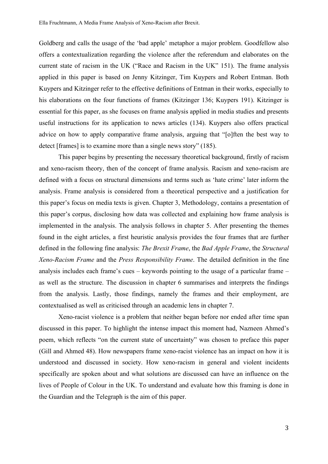Goldberg and calls the usage of the 'bad apple' metaphor a major problem. Goodfellow also offers a contextualization regarding the violence after the referendum and elaborates on the current state of racism in the UK ("Race and Racism in the UK" 151). The frame analysis applied in this paper is based on Jenny Kitzinger, Tim Kuypers and Robert Entman. Both Kuypers and Kitzinger refer to the effective definitions of Entman in their works, especially to his elaborations on the four functions of frames (Kitzinger 136; Kuypers 191). Kitzinger is essential for this paper, as she focuses on frame analysis applied in media studies and presents useful instructions for its application to news articles (134). Kuypers also offers practical advice on how to apply comparative frame analysis, arguing that "[o]ften the best way to detect [frames] is to examine more than a single news story" (185).

This paper begins by presenting the necessary theoretical background, firstly of racism and xeno-racism theory, then of the concept of frame analysis. Racism and xeno-racism are defined with a focus on structural dimensions and terms such as 'hate crime' later inform the analysis. Frame analysis is considered from a theoretical perspective and a justification for this paper's focus on media texts is given. Chapter 3, Methodology, contains a presentation of this paper's corpus, disclosing how data was collected and explaining how frame analysis is implemented in the analysis. The analysis follows in chapter 5. After presenting the themes found in the eight articles, a first heuristic analysis provides the four frames that are further defined in the following fine analysis: *The Brexit Frame*, the *Bad Apple Frame*, the *Structural Xeno-Racism Frame* and the *Press Responsibility Frame*. The detailed definition in the fine analysis includes each frame's cues – keywords pointing to the usage of a particular frame – as well as the structure. The discussion in chapter 6 summarises and interprets the findings from the analysis. Lastly, those findings, namely the frames and their employment, are contextualised as well as criticised through an academic lens in chapter 7.

Xeno-racist violence is a problem that neither began before nor ended after time span discussed in this paper. To highlight the intense impact this moment had, Nazneen Ahmed's poem, which reflects "on the current state of uncertainty" was chosen to preface this paper (Gill and Ahmed 48). How newspapers frame xeno-racist violence has an impact on how it is understood and discussed in society. How xeno-racism in general and violent incidents specifically are spoken about and what solutions are discussed can have an influence on the lives of People of Colour in the UK. To understand and evaluate how this framing is done in the Guardian and the Telegraph is the aim of this paper.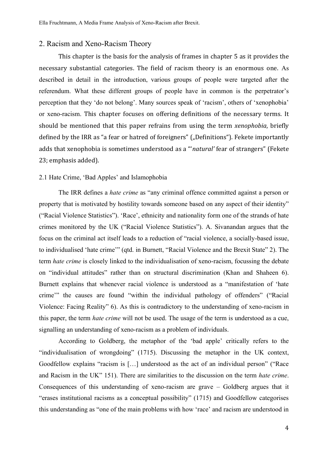# 2. Racism and Xeno-Racism Theory

This chapter is the basis for the analysis of frames in chapter 5 as it provides the necessary substantial categories. The field of racism theory is an enormous one. As described in detail in the introduction, various groups of people were targeted after the referendum. What these different groups of people have in common is the perpetrator's perception that they 'do not belong'. Many sources speak of 'racism', others of 'xenophobia' or xeno-racism. This chapter focuses on offering definitions of the necessary terms. It should be mentioned that this paper refrains from using the term *xenophobia*, briefly defined by the IRR as "a fear or hatred of foreigners" ("Definitions"). Fekete importantly adds that xenophobia is sometimes understood as a "'*natural'* fear of strangers" (Fekete 23; emphasis added).

# 2.1 Hate Crime, 'Bad Apples' and Islamophobia

The IRR defines a *hate crime* as "any criminal offence committed against a person or property that is motivated by hostility towards someone based on any aspect of their identity" ("Racial Violence Statistics"). 'Race', ethnicity and nationality form one of the strands of hate crimes monitored by the UK ("Racial Violence Statistics"). A. Sivanandan argues that the focus on the criminal act itself leads to a reduction of "racial violence, a socially-based issue, to individualised 'hate crime'" (qtd. in Burnett, "Racial Violence and the Brexit State" 2). The term *hate crime* is closely linked to the individualisation of xeno-racism, focussing the debate on "individual attitudes" rather than on structural discrimination (Khan and Shaheen 6). Burnett explains that whenever racial violence is understood as a "manifestation of 'hate crime'" the causes are found "within the individual pathology of offenders" ("Racial Violence: Facing Reality" 6). As this is contradictory to the understanding of xeno-racism in this paper, the term *hate crime* will not be used. The usage of the term is understood as a cue, signalling an understanding of xeno-racism as a problem of individuals.

According to Goldberg, the metaphor of the 'bad apple' critically refers to the "individualisation of wrongdoing" (1715). Discussing the metaphor in the UK context, Goodfellow explains "racism is […] understood as the act of an individual person" ("Race and Racism in the UK" 151). There are similarities to the discussion on the term *hate crime*. Consequences of this understanding of xeno-racism are grave – Goldberg argues that it "erases institutional racisms as a conceptual possibility" (1715) and Goodfellow categorises this understanding as "one of the main problems with how 'race' and racism are understood in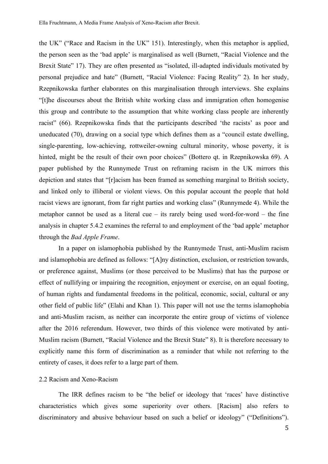the UK" ("Race and Racism in the UK" 151). Interestingly, when this metaphor is applied, the person seen as the 'bad apple' is marginalised as well (Burnett, "Racial Violence and the Brexit State" 17). They are often presented as "isolated, ill-adapted individuals motivated by personal prejudice and hate" (Burnett, "Racial Violence: Facing Reality" 2). In her study, Rzepnikowska further elaborates on this marginalisation through interviews. She explains "[t]he discourses about the British white working class and immigration often homogenise this group and contribute to the assumption that white working class people are inherently racist" (66). Rzepnikowska finds that the participants described 'the racists' as poor and uneducated (70), drawing on a social type which defines them as a "council estate dwelling, single-parenting, low-achieving, rottweiler-owning cultural minority, whose poverty, it is hinted, might be the result of their own poor choices" (Bottero qt. in Rzepnikowska 69). A paper published by the Runnymede Trust on reframing racism in the UK mirrors this depiction and states that "[r]acism has been framed as something marginal to British society, and linked only to illiberal or violent views. On this popular account the people that hold racist views are ignorant, from far right parties and working class" (Runnymede 4). While the metaphor cannot be used as a literal cue – its rarely being used word-for-word – the fine analysis in chapter 5.4.2 examines the referral to and employment of the 'bad apple' metaphor through the *Bad Apple Frame*.

In a paper on islamophobia published by the Runnymede Trust, anti-Muslim racism and islamophobia are defined as follows: "[A]ny distinction, exclusion, or restriction towards, or preference against, Muslims (or those perceived to be Muslims) that has the purpose or effect of nullifying or impairing the recognition, enjoyment or exercise, on an equal footing, of human rights and fundamental freedoms in the political, economic, social, cultural or any other field of public life" (Elahi and Khan 1). This paper will not use the terms islamophobia and anti-Muslim racism, as neither can incorporate the entire group of victims of violence after the 2016 referendum. However, two thirds of this violence were motivated by anti-Muslim racism (Burnett, "Racial Violence and the Brexit State" 8). It is therefore necessary to explicitly name this form of discrimination as a reminder that while not referring to the entirety of cases, it does refer to a large part of them.

### 2.2 Racism and Xeno-Racism

The IRR defines racism to be "the belief or ideology that 'races' have distinctive characteristics which gives some superiority over others. [Racism] also refers to discriminatory and abusive behaviour based on such a belief or ideology" ("Definitions").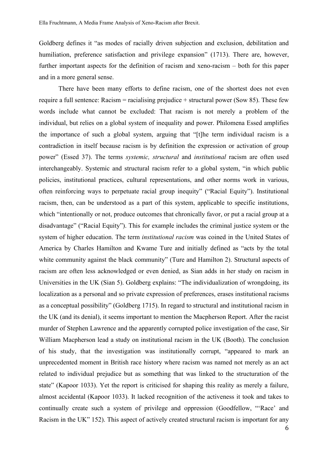Goldberg defines it "as modes of racially driven subjection and exclusion, debilitation and humiliation, preference satisfaction and privilege expansion" (1713). There are, however, further important aspects for the definition of racism and xeno-racism – both for this paper and in a more general sense.

There have been many efforts to define racism, one of the shortest does not even require a full sentence: Racism = racialising prejudice + structural power (Sow 85). These few words include what cannot be excluded: That racism is not merely a problem of the individual, but relies on a global system of inequality and power. Philomena Essed amplifies the importance of such a global system, arguing that "[t]he term individual racism is a contradiction in itself because racism is by definition the expression or activation of group power" (Essed 37). The terms *systemic, structural* and *institutional* racism are often used interchangeably. Systemic and structural racism refer to a global system, "in which public policies, institutional practices, cultural representations, and other norms work in various, often reinforcing ways to perpetuate racial group inequity" ("Racial Equity"). Institutional racism, then, can be understood as a part of this system, applicable to specific institutions, which "intentionally or not, produce outcomes that chronically favor, or put a racial group at a disadvantage" ("Racial Equity"). This for example includes the criminal justice system or the system of higher education. The term *institutional racism* was coined in the United States of America by Charles Hamilton and Kwame Ture and initially defined as "acts by the total white community against the black community" (Ture and Hamilton 2). Structural aspects of racism are often less acknowledged or even denied, as Sian adds in her study on racism in Universities in the UK (Sian 5). Goldberg explains: "The individualization of wrongdoing, its localization as a personal and so private expression of preferences, erases institutional racisms as a conceptual possibility" (Goldberg 1715). In regard to structural and institutional racism in the UK (and its denial), it seems important to mention the Macpherson Report. After the racist murder of Stephen Lawrence and the apparently corrupted police investigation of the case, Sir William Macpherson lead a study on institutional racism in the UK (Booth). The conclusion of his study, that the investigation was institutionally corrupt, "appeared to mark an unprecedented moment in British race history where racism was named not merely as an act related to individual prejudice but as something that was linked to the structuration of the state" (Kapoor 1033). Yet the report is criticised for shaping this reality as merely a failure, almost accidental (Kapoor 1033). It lacked recognition of the activeness it took and takes to continually create such a system of privilege and oppression (Goodfellow, "'Race' and Racism in the UK" 152). This aspect of actively created structural racism is important for any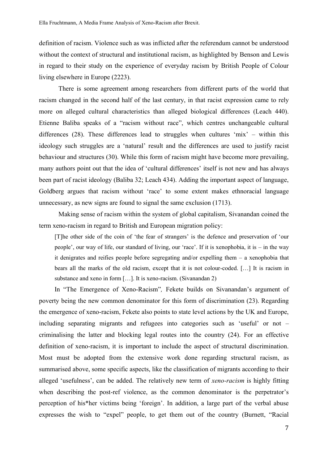definition of racism. Violence such as was inflicted after the referendum cannot be understood without the context of structural and institutional racism, as highlighted by Benson and Lewis in regard to their study on the experience of everyday racism by British People of Colour living elsewhere in Europe (2223).

There is some agreement among researchers from different parts of the world that racism changed in the second half of the last century, in that racist expression came to rely more on alleged cultural characteristics than alleged biological differences (Leach 440). Etienne Baliba speaks of a "racism without race", which centres unchangeable cultural differences (28). These differences lead to struggles when cultures 'mix' – within this ideology such struggles are a 'natural' result and the differences are used to justify racist behaviour and structures (30). While this form of racism might have become more prevailing, many authors point out that the idea of 'cultural differences' itself is not new and has always been part of racist ideology (Baliba 32; Leach 434). Adding the important aspect of language, Goldberg argues that racism without 'race' to some extent makes ethnoracial language unnecessary, as new signs are found to signal the same exclusion (1713).

Making sense of racism within the system of global capitalism, Sivanandan coined the term xeno-racism in regard to British and European migration policy:

[T]he other side of the coin of 'the fear of strangers' is the defence and preservation of 'our people', our way of life, our standard of living, our 'race'. If it is xenophobia, it is – in the way it denigrates and reifies people before segregating and/or expelling them – a xenophobia that bears all the marks of the old racism, except that it is not colour-coded. […] It is racism in substance and xeno in form [...]. It is xeno-racism. (Sivanandan 2)

In "The Emergence of Xeno-Racism"*,* Fekete builds on Sivanandan's argument of poverty being the new common denominator for this form of discrimination (23). Regarding the emergence of xeno-racism, Fekete also points to state level actions by the UK and Europe, including separating migrants and refugees into categories such as 'useful' or not – criminalising the latter and blocking legal routes into the country (24). For an effective definition of xeno-racism, it is important to include the aspect of structural discrimination. Most must be adopted from the extensive work done regarding structural racism, as summarised above, some specific aspects, like the classification of migrants according to their alleged 'usefulness', can be added. The relatively new term of *xeno-racism* is highly fitting when describing the post-ref violence, as the common denominator is the perpetrator's perception of his\*her victims being 'foreign'. In addition, a large part of the verbal abuse expresses the wish to "expel" people, to get them out of the country (Burnett, "Racial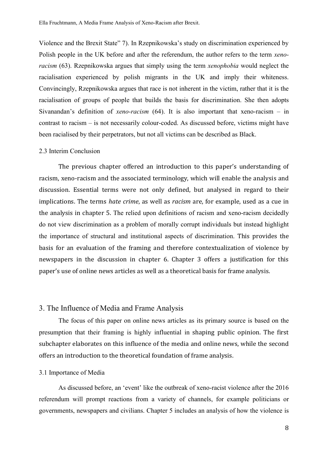Violence and the Brexit State" 7). In Rzepnikowska's study on discrimination experienced by Polish people in the UK before and after the referendum, the author refers to the term *xenoracism* (63). Rzepnikowska argues that simply using the term *xenophobia* would neglect the racialisation experienced by polish migrants in the UK and imply their whiteness. Convincingly, Rzepnikowska argues that race is not inherent in the victim, rather that it is the racialisation of groups of people that builds the basis for discrimination. She then adopts Sivanandan's definition of *xeno-racism* (64). It is also important that xeno-racism – in contrast to racism – is not necessarily colour-coded. As discussed before, victims might have been racialised by their perpetrators, but not all victims can be described as Black.

#### 2.3 Interim Conclusion

The previous chapter offered an introduction to this paper's understanding of racism, xeno-racism and the associated terminology, which will enable the analysis and discussion. Essential terms were not only defined, but analysed in regard to their implications. The terms *hate crime*, as well as *racism* are, for example, used as a cue in the analysis in chapter 5. The relied upon definitions of racism and xeno-racism decidedly do not view discrimination as a problem of morally corrupt individuals but instead highlight the importance of structural and institutional aspects of discrimination. This provides the basis for an evaluation of the framing and therefore contextualization of violence by newspapers in the discussion in chapter 6. Chapter 3 offers a justification for this paper's use of online news articles as well as a theoretical basis for frame analysis.

### 3. The Influence of Media and Frame Analysis

The focus of this paper on online news articles as its primary source is based on the presumption that their framing is highly influential in shaping public opinion. The first subchapter elaborates on this influence of the media and online news, while the second offers an introduction to the theoretical foundation of frame analysis.

### 3.1 Importance of Media

As discussed before, an 'event' like the outbreak of xeno-racist violence after the 2016 referendum will prompt reactions from a variety of channels, for example politicians or governments, newspapers and civilians. Chapter 5 includes an analysis of how the violence is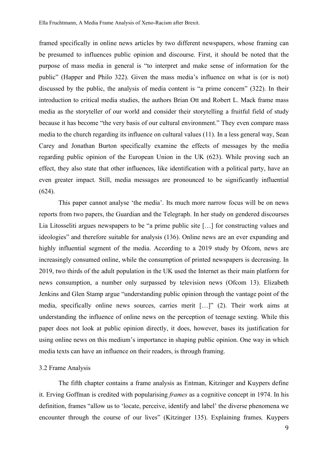framed specifically in online news articles by two different newspapers, whose framing can be presumed to influences public opinion and discourse. First, it should be noted that the purpose of mass media in general is "to interpret and make sense of information for the public" (Happer and Philo 322). Given the mass media's influence on what is (or is not) discussed by the public, the analysis of media content is "a prime concern" (322). In their introduction to critical media studies, the authors Brian Ott and Robert L. Mack frame mass media as the storyteller of our world and consider their storytelling a fruitful field of study because it has become "the very basis of our cultural environment." They even compare mass media to the church regarding its influence on cultural values (11). In a less general way, Sean Carey and Jonathan Burton specifically examine the effects of messages by the media regarding public opinion of the European Union in the UK (623). While proving such an effect, they also state that other influences, like identification with a political party, have an even greater impact. Still, media messages are pronounced to be significantly influential  $(624)$ .

This paper cannot analyse 'the media'. Its much more narrow focus will be on news reports from two papers, the Guardian and the Telegraph. In her study on gendered discourses Lia Litosseliti argues newspapers to be "a prime public site […] for constructing values and ideologies" and therefore suitable for analysis (136). Online news are an ever expanding and highly influential segment of the media. According to a 2019 study by Ofcom, news are increasingly consumed online, while the consumption of printed newspapers is decreasing. In 2019, two thirds of the adult population in the UK used the Internet as their main platform for news consumption, a number only surpassed by television news (Ofcom 13). Elizabeth Jenkins and Glen Stamp argue "understanding public opinion through the vantage point of the media, specifically online news sources, carries merit […]" (2). Their work aims at understanding the influence of online news on the perception of teenage sexting. While this paper does not look at public opinion directly, it does, however, bases its justification for using online news on this medium's importance in shaping public opinion. One way in which media texts can have an influence on their readers, is through framing.

#### 3.2 Frame Analysis

The fifth chapter contains a frame analysis as Entman, Kitzinger and Kuypers define it. Erving Goffman is credited with popularising *frames* as a cognitive concept in 1974. In his definition, frames "allow us to 'locate, perceive, identify and label' the diverse phenomena we encounter through the course of our lives" (Kitzinger 135). Explaining frames*,* Kuypers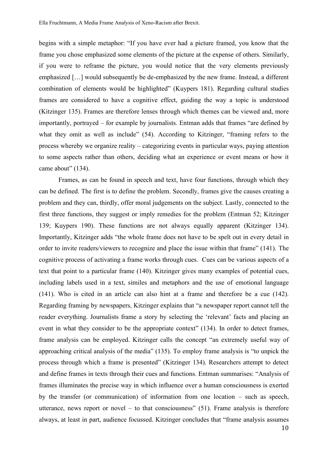begins with a simple metaphor: "If you have ever had a picture framed, you know that the frame you chose emphasized some elements of the picture at the expense of others. Similarly, if you were to reframe the picture, you would notice that the very elements previously emphasized […] would subsequently be de-emphasized by the new frame. Instead, a different combination of elements would be highlighted" (Kuypers 181). Regarding cultural studies frames are considered to have a cognitive effect, guiding the way a topic is understood (Kitzinger 135). Frames are therefore lenses through which themes can be viewed and, more importantly, portrayed – for example by journalists. Entman adds that frames "are defined by what they omit as well as include" (54). According to Kitzinger, "framing refers to the process whereby we organize reality – categorizing events in particular ways, paying attention to some aspects rather than others, deciding what an experience or event means or how it came about" (134).

Frames, as can be found in speech and text, have four functions, through which they can be defined. The first is to define the problem. Secondly, frames give the causes creating a problem and they can, thirdly, offer moral judgements on the subject. Lastly, connected to the first three functions, they suggest or imply remedies for the problem (Entman 52; Kitzinger 139; Kuypers 190). These functions are not always equally apparent (Kitzinger 134). Importantly, Kitzinger adds "the whole frame does not have to be spelt out in every detail in order to invite readers/viewers to recognize and place the issue within that frame" (141). The cognitive process of activating a frame works through cues. Cues can be various aspects of a text that point to a particular frame (140). Kitzinger gives many examples of potential cues, including labels used in a text, similes and metaphors and the use of emotional language (141). Who is cited in an article can also hint at a frame and therefore be a cue (142). Regarding framing by newspapers, Kitzinger explains that "a newspaper report cannot tell the reader everything. Journalists frame a story by selecting the 'relevant' facts and placing an event in what they consider to be the appropriate context" (134). In order to detect frames, frame analysis can be employed. Kitzinger calls the concept "an extremely useful way of approaching critical analysis of the media" (135). To employ frame analysis is "to unpick the process through which a frame is presented" (Kitzinger 134). Researchers attempt to detect and define frames in texts through their cues and functions. Entman summarises: "Analysis of frames illuminates the precise way in which influence over a human consciousness is exerted by the transfer (or communication) of information from one location – such as speech, utterance, news report or novel – to that consciousness"  $(51)$ . Frame analysis is therefore always, at least in part, audience focussed. Kitzinger concludes that "frame analysis assumes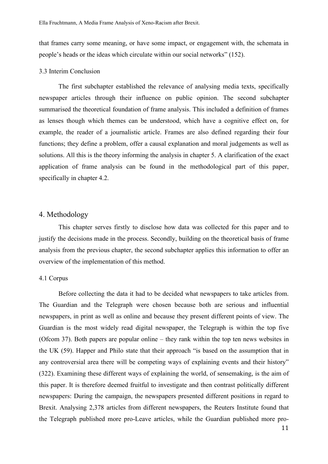that frames carry some meaning, or have some impact, or engagement with, the schemata in people's heads or the ideas which circulate within our social networks" (152).

### 3.3 Interim Conclusion

The first subchapter established the relevance of analysing media texts, specifically newspaper articles through their influence on public opinion. The second subchapter summarised the theoretical foundation of frame analysis. This included a definition of frames as lenses though which themes can be understood, which have a cognitive effect on, for example, the reader of a journalistic article. Frames are also defined regarding their four functions; they define a problem, offer a causal explanation and moral judgements as well as solutions. All this is the theory informing the analysis in chapter 5. A clarification of the exact application of frame analysis can be found in the methodological part of this paper, specifically in chapter 4.2.

### 4. Methodology

This chapter serves firstly to disclose how data was collected for this paper and to justify the decisions made in the process. Secondly, building on the theoretical basis of frame analysis from the previous chapter, the second subchapter applies this information to offer an overview of the implementation of this method.

#### 4.1 Corpus

Before collecting the data it had to be decided what newspapers to take articles from. The Guardian and the Telegraph were chosen because both are serious and influential newspapers, in print as well as online and because they present different points of view. The Guardian is the most widely read digital newspaper, the Telegraph is within the top five (Ofcom 37). Both papers are popular online – they rank within the top ten news websites in the UK (59). Happer and Philo state that their approach "is based on the assumption that in any controversial area there will be competing ways of explaining events and their history" (322). Examining these different ways of explaining the world, of sensemaking, is the aim of this paper. It is therefore deemed fruitful to investigate and then contrast politically different newspapers: During the campaign, the newspapers presented different positions in regard to Brexit. Analysing 2,378 articles from different newspapers, the Reuters Institute found that the Telegraph published more pro-Leave articles, while the Guardian published more pro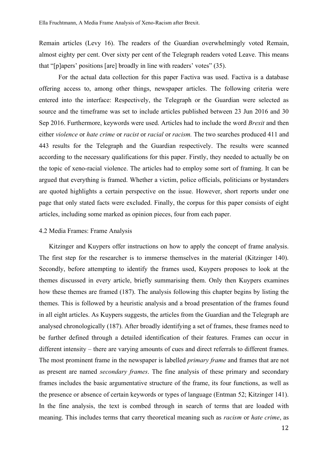Remain articles (Levy 16). The readers of the Guardian overwhelmingly voted Remain, almost eighty per cent. Over sixty per cent of the Telegraph readers voted Leave. This means that "[p]apers' positions [are] broadly in line with readers' votes" (35).

For the actual data collection for this paper Factiva was used. Factiva is a database offering access to, among other things, newspaper articles. The following criteria were entered into the interface: Respectively, the Telegraph or the Guardian were selected as source and the timeframe was set to include articles published between 23 Jun 2016 and 30 Sep 2016. Furthermore, keywords were used. Articles had to include the word *Brexit* and then either *violence* or *hate crime* or *racist* or *racial* or *racism.* The two searches produced 411 and 443 results for the Telegraph and the Guardian respectively. The results were scanned according to the necessary qualifications for this paper. Firstly, they needed to actually be on the topic of xeno-racial violence. The articles had to employ some sort of framing. It can be argued that everything is framed. Whether a victim, police officials, politicians or bystanders are quoted highlights a certain perspective on the issue. However, short reports under one page that only stated facts were excluded. Finally, the corpus for this paper consists of eight articles, including some marked as opinion pieces, four from each paper.

### 4.2 Media Frames: Frame Analysis

Kitzinger and Kuypers offer instructions on how to apply the concept of frame analysis. The first step for the researcher is to immerse themselves in the material (Kitzinger 140). Secondly, before attempting to identify the frames used, Kuypers proposes to look at the themes discussed in every article, briefly summarising them. Only then Kuypers examines how these themes are framed (187). The analysis following this chapter begins by listing the themes. This is followed by a heuristic analysis and a broad presentation of the frames found in all eight articles. As Kuypers suggests, the articles from the Guardian and the Telegraph are analysed chronologically (187). After broadly identifying a set of frames, these frames need to be further defined through a detailed identification of their features. Frames can occur in different intensity – there are varying amounts of cues and direct referrals to different frames. The most prominent frame in the newspaper is labelled *primary frame* and frames that are not as present are named *secondary frames*. The fine analysis of these primary and secondary frames includes the basic argumentative structure of the frame, its four functions, as well as the presence or absence of certain keywords or types of language (Entman 52; Kitzinger 141). In the fine analysis, the text is combed through in search of terms that are loaded with meaning. This includes terms that carry theoretical meaning such as *racism* or *hate crime*, as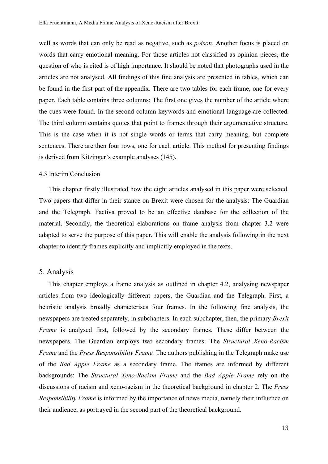well as words that can only be read as negative, such as *poison*. Another focus is placed on words that carry emotional meaning. For those articles not classified as opinion pieces, the question of who is cited is of high importance. It should be noted that photographs used in the articles are not analysed. All findings of this fine analysis are presented in tables, which can be found in the first part of the appendix. There are two tables for each frame, one for every paper. Each table contains three columns: The first one gives the number of the article where the cues were found. In the second column keywords and emotional language are collected. The third column contains quotes that point to frames through their argumentative structure. This is the case when it is not single words or terms that carry meaning, but complete sentences. There are then four rows, one for each article. This method for presenting findings is derived from Kitzinger's example analyses (145).

#### 4.3 Interim Conclusion

This chapter firstly illustrated how the eight articles analysed in this paper were selected. Two papers that differ in their stance on Brexit were chosen for the analysis: The Guardian and the Telegraph. Factiva proved to be an effective database for the collection of the material. Secondly, the theoretical elaborations on frame analysis from chapter 3.2 were adapted to serve the purpose of this paper. This will enable the analysis following in the next chapter to identify frames explicitly and implicitly employed in the texts.

#### 5. Analysis

This chapter employs a frame analysis as outlined in chapter 4.2, analysing newspaper articles from two ideologically different papers, the Guardian and the Telegraph. First, a heuristic analysis broadly characterises four frames. In the following fine analysis, the newspapers are treated separately, in subchapters. In each subchapter, then, the primary *Brexit Frame* is analysed first, followed by the secondary frames. These differ between the newspapers. The Guardian employs two secondary frames: The *Structural Xeno-Racism Frame* and the *Press Responsibility Frame.* The authors publishing in the Telegraph make use of the *Bad Apple Frame* as a secondary frame. The frames are informed by different backgrounds: The *Structural Xeno-Racism Frame* and the *Bad Apple Frame* rely on the discussions of racism and xeno-racism in the theoretical background in chapter 2. The *Press Responsibility Frame* is informed by the importance of news media, namely their influence on their audience, as portrayed in the second part of the theoretical background.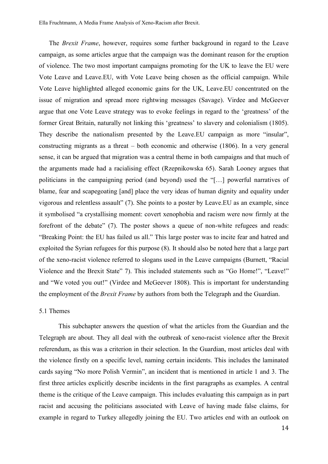The *Brexit Frame*, however, requires some further background in regard to the Leave campaign, as some articles argue that the campaign was the dominant reason for the eruption of violence. The two most important campaigns promoting for the UK to leave the EU were Vote Leave and Leave.EU, with Vote Leave being chosen as the official campaign. While Vote Leave highlighted alleged economic gains for the UK, Leave.EU concentrated on the issue of migration and spread more rightwing messages (Savage). Virdee and McGeever argue that one Vote Leave strategy was to evoke feelings in regard to the 'greatness' of the former Great Britain, naturally not linking this 'greatness' to slavery and colonialism (1805). They describe the nationalism presented by the Leave.EU campaign as more "insular", constructing migrants as a threat – both economic and otherwise (1806). In a very general sense, it can be argued that migration was a central theme in both campaigns and that much of the arguments made had a racialising effect (Rzepnikowska 65). Sarah Looney argues that politicians in the campaigning period (and beyond) used the "[…] powerful narratives of blame, fear and scapegoating [and] place the very ideas of human dignity and equality under vigorous and relentless assault" (7). She points to a poster by Leave.EU as an example, since it symbolised "a crystallising moment: covert xenophobia and racism were now firmly at the forefront of the debate" (7). The poster shows a queue of non-white refugees and reads: "Breaking Point: the EU has failed us all." This large poster was to incite fear and hatred and exploited the Syrian refugees for this purpose (8). It should also be noted here that a large part of the xeno-racist violence referred to slogans used in the Leave campaigns (Burnett, "Racial Violence and the Brexit State" 7). This included statements such as "Go Home!", "Leave!" and "We voted you out!" (Virdee and McGeever 1808). This is important for understanding the employment of the *Brexit Frame* by authors from both the Telegraph and the Guardian.

### 5.1 Themes

This subchapter answers the question of what the articles from the Guardian and the Telegraph are about. They all deal with the outbreak of xeno-racist violence after the Brexit referendum, as this was a criterion in their selection. In the Guardian, most articles deal with the violence firstly on a specific level, naming certain incidents. This includes the laminated cards saying "No more Polish Vermin", an incident that is mentioned in article 1 and 3. The first three articles explicitly describe incidents in the first paragraphs as examples. A central theme is the critique of the Leave campaign. This includes evaluating this campaign as in part racist and accusing the politicians associated with Leave of having made false claims, for example in regard to Turkey allegedly joining the EU. Two articles end with an outlook on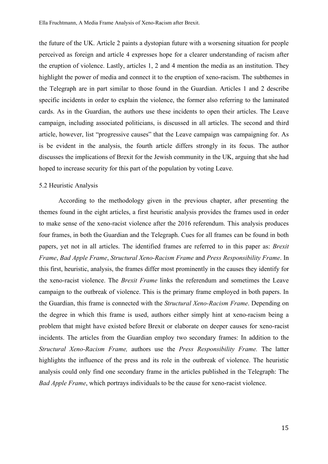the future of the UK. Article 2 paints a dystopian future with a worsening situation for people perceived as foreign and article 4 expresses hope for a clearer understanding of racism after the eruption of violence. Lastly, articles 1, 2 and 4 mention the media as an institution. They highlight the power of media and connect it to the eruption of xeno-racism. The subthemes in the Telegraph are in part similar to those found in the Guardian. Articles 1 and 2 describe specific incidents in order to explain the violence, the former also referring to the laminated cards. As in the Guardian, the authors use these incidents to open their articles. The Leave campaign, including associated politicians, is discussed in all articles. The second and third article, however, list "progressive causes" that the Leave campaign was campaigning for. As is be evident in the analysis, the fourth article differs strongly in its focus. The author discusses the implications of Brexit for the Jewish community in the UK, arguing that she had hoped to increase security for this part of the population by voting Leave.

#### 5.2 Heuristic Analysis

According to the methodology given in the previous chapter, after presenting the themes found in the eight articles, a first heuristic analysis provides the frames used in order to make sense of the xeno-racist violence after the 2016 referendum. This analysis produces four frames, in both the Guardian and the Telegraph. Cues for all frames can be found in both papers, yet not in all articles. The identified frames are referred to in this paper as: *Brexit Frame*, *Bad Apple Frame*, *Structural Xeno-Racism Frame* and *Press Responsibility Frame*. In this first, heuristic, analysis, the frames differ most prominently in the causes they identify for the xeno-racist violence. The *Brexit Frame* links the referendum and sometimes the Leave campaign to the outbreak of violence. This is the primary frame employed in both papers. In the Guardian, this frame is connected with the *Structural Xeno-Racism Frame*. Depending on the degree in which this frame is used, authors either simply hint at xeno-racism being a problem that might have existed before Brexit or elaborate on deeper causes for xeno-racist incidents. The articles from the Guardian employ two secondary frames: In addition to the *Structural Xeno-Racism Frame,* authors use the *Press Responsibility Frame.* The latter highlights the influence of the press and its role in the outbreak of violence. The heuristic analysis could only find one secondary frame in the articles published in the Telegraph: The *Bad Apple Frame*, which portrays individuals to be the cause for xeno-racist violence.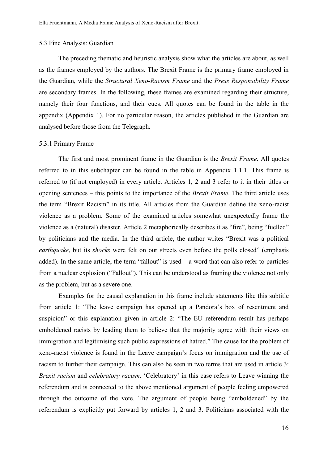#### 5.3 Fine Analysis: Guardian

The preceding thematic and heuristic analysis show what the articles are about, as well as the frames employed by the authors. The Brexit Frame is the primary frame employed in the Guardian, while the *Structural Xeno-Racism Frame* and the *Press Responsibility Frame* are secondary frames. In the following, these frames are examined regarding their structure, namely their four functions, and their cues. All quotes can be found in the table in the appendix (Appendix 1). For no particular reason, the articles published in the Guardian are analysed before those from the Telegraph.

#### 5.3.1 Primary Frame

The first and most prominent frame in the Guardian is the *Brexit Frame*. All quotes referred to in this subchapter can be found in the table in Appendix 1.1.1. This frame is referred to (if not employed) in every article. Articles 1, 2 and 3 refer to it in their titles or opening sentences – this points to the importance of the *Brexit Frame*. The third article uses the term "Brexit Racism" in its title. All articles from the Guardian define the xeno-racist violence as a problem. Some of the examined articles somewhat unexpectedly frame the violence as a (natural) disaster. Article 2 metaphorically describes it as "fire", being "fuelled" by politicians and the media. In the third article, the author writes "Brexit was a political *earthquake*, but its *shocks* were felt on our streets even before the polls closed" (emphasis added). In the same article, the term "fallout" is used – a word that can also refer to particles from a nuclear explosion ("Fallout"). This can be understood as framing the violence not only as the problem, but as a severe one.

Examples for the causal explanation in this frame include statements like this subtitle from article 1: "The leave campaign has opened up a Pandora's box of resentment and suspicion" or this explanation given in article 2: "The EU referendum result has perhaps emboldened racists by leading them to believe that the majority agree with their views on immigration and legitimising such public expressions of hatred." The cause for the problem of xeno-racist violence is found in the Leave campaign's focus on immigration and the use of racism to further their campaign. This can also be seen in two terms that are used in article 3: *Brexit racism* and *celebratory racism*. 'Celebratory' in this case refers to Leave winning the referendum and is connected to the above mentioned argument of people feeling empowered through the outcome of the vote. The argument of people being "emboldened" by the referendum is explicitly put forward by articles 1, 2 and 3. Politicians associated with the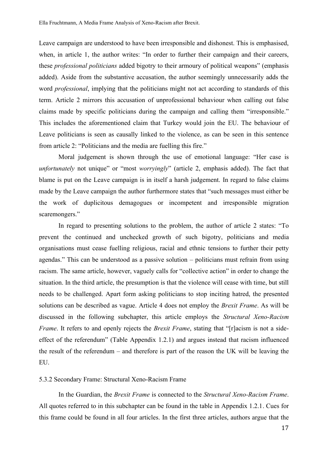Leave campaign are understood to have been irresponsible and dishonest. This is emphasised, when, in article 1, the author writes: "In order to further their campaign and their careers, these *professional politicians* added bigotry to their armoury of political weapons" (emphasis added). Aside from the substantive accusation, the author seemingly unnecessarily adds the word *professional*, implying that the politicians might not act according to standards of this term. Article 2 mirrors this accusation of unprofessional behaviour when calling out false claims made by specific politicians during the campaign and calling them "irresponsible." This includes the aforementioned claim that Turkey would join the EU. The behaviour of Leave politicians is seen as causally linked to the violence, as can be seen in this sentence from article 2: "Politicians and the media are fuelling this fire."

Moral judgement is shown through the use of emotional language: "Her case is *unfortunately* not unique" or "most *worryingly*" (article 2, emphasis added). The fact that blame is put on the Leave campaign is in itself a harsh judgement. In regard to false claims made by the Leave campaign the author furthermore states that "such messages must either be the work of duplicitous demagogues or incompetent and irresponsible migration scaremongers."

In regard to presenting solutions to the problem, the author of article 2 states: "To prevent the continued and unchecked growth of such bigotry, politicians and media organisations must cease fuelling religious, racial and ethnic tensions to further their petty agendas." This can be understood as a passive solution – politicians must refrain from using racism. The same article, however, vaguely calls for "collective action" in order to change the situation. In the third article, the presumption is that the violence will cease with time, but still needs to be challenged. Apart form asking politicians to stop inciting hatred, the presented solutions can be described as vague. Article 4 does not employ the *Brexit Frame*. As will be discussed in the following subchapter, this article employs the *Structural Xeno-Racism Frame*. It refers to and openly rejects the *Brexit Frame*, stating that "[r]acism is not a sideeffect of the referendum" (Table Appendix 1.2.1) and argues instead that racism influenced the result of the referendum – and therefore is part of the reason the UK will be leaving the EU.

#### 5.3.2 Secondary Frame: Structural Xeno-Racism Frame

In the Guardian, the *Brexit Frame* is connected to the *Structural Xeno-Racism Frame*. All quotes referred to in this subchapter can be found in the table in Appendix 1.2.1. Cues for this frame could be found in all four articles. In the first three articles, authors argue that the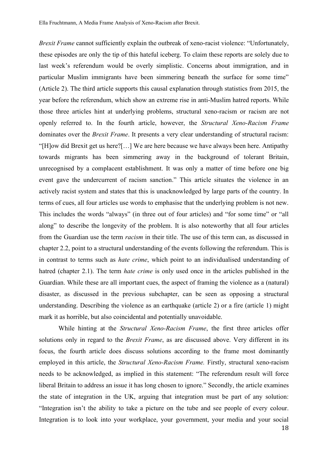*Brexit Frame* cannot sufficiently explain the outbreak of xeno-racist violence: "Unfortunately, these episodes are only the tip of this hateful iceberg. To claim these reports are solely due to last week's referendum would be overly simplistic. Concerns about immigration, and in particular Muslim immigrants have been simmering beneath the surface for some time" (Article 2). The third article supports this causal explanation through statistics from 2015, the year before the referendum, which show an extreme rise in anti-Muslim hatred reports. While those three articles hint at underlying problems, structural xeno-racism or racism are not openly referred to. In the fourth article, however, the *Structural Xeno-Racism Frame*  dominates over the *Brexit Frame*. It presents a very clear understanding of structural racism: "[H]ow did Brexit get us here?[…] We are here because we have always been here. Antipathy towards migrants has been simmering away in the background of tolerant Britain, unrecognised by a complacent establishment. It was only a matter of time before one big event gave the undercurrent of racism sanction." This article situates the violence in an actively racist system and states that this is unacknowledged by large parts of the country. In terms of cues, all four articles use words to emphasise that the underlying problem is not new. This includes the words "always" (in three out of four articles) and "for some time" or "all along" to describe the longevity of the problem. It is also noteworthy that all four articles from the Guardian use the term *racism* in their title. The use of this term can, as discussed in chapter 2.2, point to a structural understanding of the events following the referendum. This is in contrast to terms such as *hate crime*, which point to an individualised understanding of hatred (chapter 2.1). The term *hate crime* is only used once in the articles published in the Guardian. While these are all important cues, the aspect of framing the violence as a (natural) disaster, as discussed in the previous subchapter, can be seen as opposing a structural understanding. Describing the violence as an earthquake (article 2) or a fire (article 1) might mark it as horrible, but also coincidental and potentially unavoidable.

While hinting at the *Structural Xeno-Racism Frame*, the first three articles offer solutions only in regard to the *Brexit Frame*, as are discussed above. Very different in its focus, the fourth article does discuss solutions according to the frame most dominantly employed in this article, the *Structural Xeno-Racism Frame.* Firstly, structural xeno-racism needs to be acknowledged, as implied in this statement: "The referendum result will force liberal Britain to address an issue it has long chosen to ignore." Secondly, the article examines the state of integration in the UK, arguing that integration must be part of any solution: "Integration isn't the ability to take a picture on the tube and see people of every colour. Integration is to look into your workplace, your government, your media and your social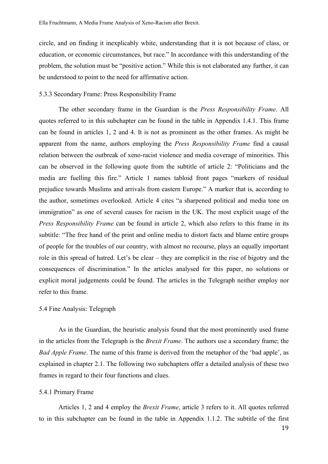circle, and on finding it inexplicably white, understanding that it is not because of class, or education, or economic circumstances, but race." In accordance with this understanding of the problem, the solution must be "positive action." While this is not elaborated any further, it can be understood to point to the need for affirmative action.

#### 5.3.3 Secondary Frame: Press Responsibility Frame

The other secondary frame in the Guardian is the *Press Responsibility Frame*. All quotes referred to in this subchapter can be found in the table in Appendix 1.4.1. This frame can be found in articles 1, 2 and 4. It is not as prominent as the other frames. As might be apparent from the name, authors employing the *Press Responsibility Frame* find a causal relation between the outbreak of xeno-racist violence and media coverage of minorities. This can be observed in the following quote from the subtitle of article 2: "Politicians and the media are fuelling this fire." Article 1 names tabloid front pages "markers of residual prejudice towards Muslims and arrivals from eastern Europe." A marker that is, according to the author, sometimes overlooked. Article 4 cites "a sharpened political and media tone on immigration" as one of several causes for racism in the UK. The most explicit usage of the *Press Responsibility Frame* can be found in article 2, which also refers to this frame in its subtitle: "The free hand of the print and online media to distort facts and blame entire groups of people for the troubles of our country, with almost no recourse, plays an equally important role in this spread of hatred. Let's be clear – they are complicit in the rise of bigotry and the consequences of discrimination." In the articles analysed for this paper, no solutions or explicit moral judgements could be found. The articles in the Telegraph neither employ nor refer to this frame.

#### 5.4 Fine Analysis: Telegraph

As in the Guardian, the heuristic analysis found that the most prominently used frame in the articles from the Telegraph is the *Brexit Frame*. The authors use a secondary frame; the *Bad Apple Frame*. The name of this frame is derived from the metaphor of the 'bad apple', as explained in chapter 2.1. The following two subchapters offer a detailed analysis of these two frames in regard to their four functions and clues.

#### 5.4.1 Primary Frame

Articles 1, 2 and 4 employ the *Brexit Frame*, article 3 refers to it. All quotes referred to in this subchapter can be found in the table in Appendix 1.1.2. The subtitle of the first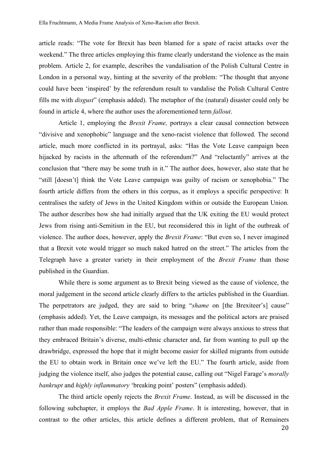article reads: "The vote for Brexit has been blamed for a spate of racist attacks over the weekend." The three articles employing this frame clearly understand the violence as the main problem. Article 2, for example, describes the vandalisation of the Polish Cultural Centre in London in a personal way, hinting at the severity of the problem: "The thought that anyone could have been 'inspired' by the referendum result to vandalise the Polish Cultural Centre fills me with *disgust*" (emphasis added). The metaphor of the (natural) disaster could only be found in article 4, where the author uses the aforementioned term *fallout*.

Article 1, employing the *Brexit Frame,* portrays a clear causal connection between "divisive and xenophobic" language and the xeno-racist violence that followed. The second article, much more conflicted in its portrayal, asks: "Has the Vote Leave campaign been hijacked by racists in the aftermath of the referendum?" And "reluctantly" arrives at the conclusion that "there may be some truth in it." The author does, however, also state that he "still [doesn't] think the Vote Leave campaign was guilty of racism or xenophobia." The fourth article differs from the others in this corpus, as it employs a specific perspective: It centralises the safety of Jews in the United Kingdom within or outside the European Union. The author describes how she had initially argued that the UK exiting the EU would protect Jews from rising anti-Semitism in the EU, but reconsidered this in light of the outbreak of violence. The author does, however, apply the *Brexit Frame*: "But even so, I never imagined that a Brexit vote would trigger so much naked hatred on the street." The articles from the Telegraph have a greater variety in their employment of the *Brexit Frame* than those published in the Guardian.

While there is some argument as to Brexit being viewed as the cause of violence, the moral judgement in the second article clearly differs to the articles published in the Guardian. The perpetrators are judged, they are said to bring "*shame* on [the Brexiteer's] cause" (emphasis added). Yet, the Leave campaign, its messages and the political actors are praised rather than made responsible: "The leaders of the campaign were always anxious to stress that they embraced Britain's diverse, multi-ethnic character and, far from wanting to pull up the drawbridge, expressed the hope that it might become easier for skilled migrants from outside the EU to obtain work in Britain once we've left the EU." The fourth article, aside from judging the violence itself, also judges the potential cause, calling out "Nigel Farage's *morally bankrupt* and *highly inflammatory* 'breaking point' posters" (emphasis added).

The third article openly rejects the *Brexit Frame*. Instead, as will be discussed in the following subchapter, it employs the *Bad Apple Frame*. It is interesting, however, that in contrast to the other articles, this article defines a different problem, that of Remainers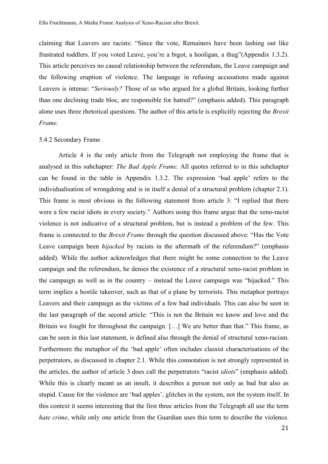claiming that Leavers are racists: "Since the vote, Remainers have been lashing out like frustrated toddlers. If you voted Leave, you're a bigot, a hooligan, a thug"(Appendix 1.3.2). This article perceives no causal relationship between the referendum, the Leave campaign and the following eruption of violence. The language in refusing accusations made against Leavers is intense: "*Seriously?* Those of us who argued for a global Britain, looking further than one declining trade bloc, are responsible for hatred?" (emphasis added). This paragraph alone uses three rhetorical questions. The author of this article is explicitly rejecting the *Brexit Frame.*

#### 5.4.2 Secondary Frame

Article 4 is the only article from the Telegraph not employing the frame that is analysed in this subchapter: *The Bad Apple Frame.* All quotes referred to in this subchapter can be found in the table in Appendix 1.3.2. The expression 'bad apple' refers to the individualisation of wrongdoing and is in itself a denial of a structural problem (chapter 2.1). This frame is most obvious in the following statement from article 3: "I replied that there were a few racist idiots in every society." Authors using this frame argue that the xeno-racist violence is not indicative of a structural problem, but is instead a problem of the few. This frame is connected to the *Brexit Frame* through the question discussed above: "Has the Vote Leave campaign been *hijacked* by racists in the aftermath of the referendum?" (emphasis added). While the author acknowledges that there might be some connection to the Leave campaign and the referendum, he denies the existence of a structural xeno-racist problem in the campaign as well as in the country – instead the Leave campaign was "hijacked." This term implies a hostile takeover, such as that of a plane by terrorists. This metaphor portrays Leavers and their campaign as the victims of a few bad individuals. This can also be seen in the last paragraph of the second article: "This is not the Britain we know and love and the Britain we fought for throughout the campaign. [...] We are better than that." This frame, as can be seen in this last statement, is defined also through the denial of structural xeno-racism. Furthermore the metaphor of the 'bad apple' often includes classist characterisations of the perpetrators, as discussed in chapter 2.1. While this connotation is not strongly represented in the articles, the author of article 3 does call the perpetrators "racist *idiots*" (emphasis added). While this is clearly meant as an insult, it describes a person not only as bad but also as stupid. Cause for the violence are 'bad apples', glitches in the system, not the system itself. In this context it seems interesting that the first three articles from the Telegraph all use the term *hate crime*, while only one article from the Guardian uses this term to describe the violence.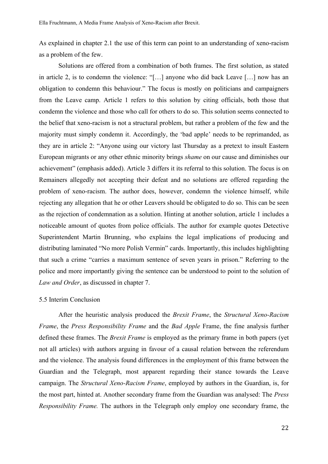As explained in chapter 2.1 the use of this term can point to an understanding of xeno-racism as a problem of the few.

Solutions are offered from a combination of both frames. The first solution, as stated in article 2, is to condemn the violence: "[…] anyone who did back Leave […] now has an obligation to condemn this behaviour." The focus is mostly on politicians and campaigners from the Leave camp. Article 1 refers to this solution by citing officials, both those that condemn the violence and those who call for others to do so. This solution seems connected to the belief that xeno-racism is not a structural problem, but rather a problem of the few and the majority must simply condemn it. Accordingly, the 'bad apple' needs to be reprimanded, as they are in article 2: "Anyone using our victory last Thursday as a pretext to insult Eastern European migrants or any other ethnic minority brings *shame* on our cause and diminishes our achievement" (emphasis added). Article 3 differs it its referral to this solution. The focus is on Remainers allegedly not accepting their defeat and no solutions are offered regarding the problem of xeno-racism. The author does, however, condemn the violence himself, while rejecting any allegation that he or other Leavers should be obligated to do so. This can be seen as the rejection of condemnation as a solution. Hinting at another solution, article 1 includes a noticeable amount of quotes from police officials. The author for example quotes Detective Superintendent Martin Brunning, who explains the legal implications of producing and distributing laminated "No more Polish Vermin" cards. Importantly, this includes highlighting that such a crime "carries a maximum sentence of seven years in prison." Referring to the police and more importantly giving the sentence can be understood to point to the solution of *Law and Order*, as discussed in chapter 7.

### 5.5 Interim Conclusion

After the heuristic analysis produced the *Brexit Frame*, the *Structural Xeno-Racism Frame*, the *Press Responsibility Frame* and the *Bad Apple* Frame, the fine analysis further defined these frames. The *Brexit Frame* is employed as the primary frame in both papers (yet not all articles) with authors arguing in favour of a causal relation between the referendum and the violence. The analysis found differences in the employment of this frame between the Guardian and the Telegraph, most apparent regarding their stance towards the Leave campaign. The *Structural Xeno-Racism Frame*, employed by authors in the Guardian, is, for the most part, hinted at. Another secondary frame from the Guardian was analysed: The *Press Responsibility Frame.* The authors in the Telegraph only employ one secondary frame, the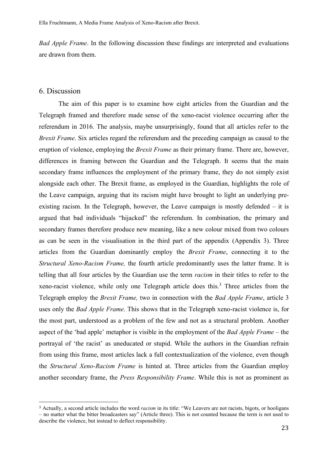*Bad Apple Frame*. In the following discussion these findings are interpreted and evaluations are drawn from them.

### 6. Discussion

The aim of this paper is to examine how eight articles from the Guardian and the Telegraph framed and therefore made sense of the xeno-racist violence occurring after the referendum in 2016. The analysis, maybe unsurprisingly, found that all articles refer to the *Brexit Frame*. Six articles regard the referendum and the preceding campaign as causal to the eruption of violence, employing the *Brexit Frame* as their primary frame. There are, however, differences in framing between the Guardian and the Telegraph. It seems that the main secondary frame influences the employment of the primary frame, they do not simply exist alongside each other. The Brexit frame, as employed in the Guardian, highlights the role of the Leave campaign, arguing that its racism might have brought to light an underlying preexisting racism. In the Telegraph, however, the Leave campaign is mostly defended – it is argued that bad individuals "hijacked" the referendum. In combination, the primary and secondary frames therefore produce new meaning, like a new colour mixed from two colours as can be seen in the visualisation in the third part of the appendix (Appendix 3). Three articles from the Guardian dominantly employ the *Brexit Frame*, connecting it to the *Structural Xeno-Racism Frame,* the fourth article predominantly uses the latter frame. It is telling that all four articles by the Guardian use the term *racism* in their titles to refer to the xeno-racist violence, while only one Telegraph article does this. <sup>3</sup> Three articles from the Telegraph employ the *Brexit Frame,* two in connection with the *Bad Apple Frame*, article 3 uses only the *Bad Apple Frame*. This shows that in the Telegraph xeno-racist violence is, for the most part, understood as a problem of the few and not as a structural problem. Another aspect of the 'bad apple' metaphor is visible in the employment of the *Bad Apple Frame* – the portrayal of 'the racist' as uneducated or stupid. While the authors in the Guardian refrain from using this frame, most articles lack a full contextualization of the violence, even though the *Structural Xeno-Racism Frame* is hinted at. Three articles from the Guardian employ another secondary frame, the *Press Responsibility Frame*. While this is not as prominent as

<sup>3</sup> Actually, a second article includes the word *racism* in its title: "We Leavers are not racists, bigots, or hooligans – no matter what the bitter broadcasters say" (Article three). This is not counted because the term is not used to describe the violence, but instead to deflect responsibility.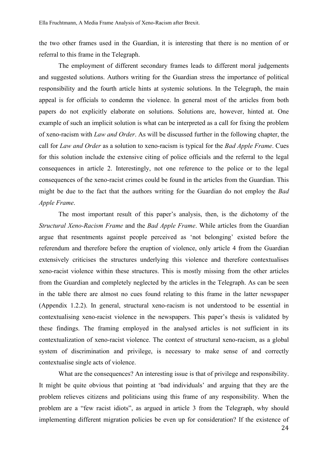the two other frames used in the Guardian, it is interesting that there is no mention of or referral to this frame in the Telegraph.

The employment of different secondary frames leads to different moral judgements and suggested solutions. Authors writing for the Guardian stress the importance of political responsibility and the fourth article hints at systemic solutions. In the Telegraph, the main appeal is for officials to condemn the violence. In general most of the articles from both papers do not explicitly elaborate on solutions. Solutions are, however, hinted at. One example of such an implicit solution is what can be interpreted as a call for fixing the problem of xeno-racism with *Law and Order*. As will be discussed further in the following chapter, the call for *Law and Order* as a solution to xeno-racism is typical for the *Bad Apple Frame*. Cues for this solution include the extensive citing of police officials and the referral to the legal consequences in article 2. Interestingly, not one reference to the police or to the legal consequences of the xeno-racist crimes could be found in the articles from the Guardian. This might be due to the fact that the authors writing for the Guardian do not employ the *Bad Apple Frame*.

The most important result of this paper's analysis, then, is the dichotomy of the *Structural Xeno-Racism Frame* and the *Bad Apple Frame*. While articles from the Guardian argue that resentments against people perceived as 'not belonging' existed before the referendum and therefore before the eruption of violence, only article 4 from the Guardian extensively criticises the structures underlying this violence and therefore contextualises xeno-racist violence within these structures. This is mostly missing from the other articles from the Guardian and completely neglected by the articles in the Telegraph. As can be seen in the table there are almost no cues found relating to this frame in the latter newspaper (Appendix 1.2.2). In general, structural xeno-racism is not understood to be essential in contextualising xeno-racist violence in the newspapers. This paper's thesis is validated by these findings. The framing employed in the analysed articles is not sufficient in its contextualization of xeno-racist violence. The context of structural xeno-racism, as a global system of discrimination and privilege, is necessary to make sense of and correctly contextualise single acts of violence.

What are the consequences? An interesting issue is that of privilege and responsibility. It might be quite obvious that pointing at 'bad individuals' and arguing that they are the problem relieves citizens and politicians using this frame of any responsibility. When the problem are a "few racist idiots", as argued in article 3 from the Telegraph, why should implementing different migration policies be even up for consideration? If the existence of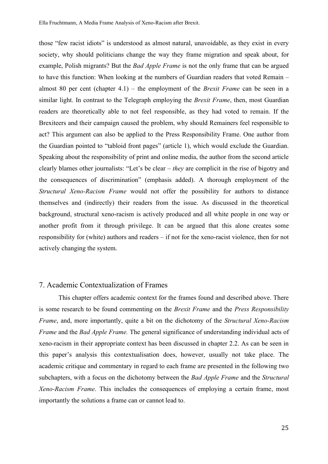those "few racist idiots" is understood as almost natural, unavoidable, as they exist in every society, why should politicians change the way they frame migration and speak about, for example, Polish migrants? But the *Bad Apple Frame* is not the only frame that can be argued to have this function: When looking at the numbers of Guardian readers that voted Remain – almost 80 per cent (chapter 4.1) – the employment of the *Brexit Frame* can be seen in a similar light. In contrast to the Telegraph employing the *Brexit Frame*, then, most Guardian readers are theoretically able to not feel responsible, as they had voted to remain. If the Brexiteers and their campaign caused the problem, why should Remainers feel responsible to act? This argument can also be applied to the Press Responsibility Frame. One author from the Guardian pointed to "tabloid front pages" (article 1), which would exclude the Guardian. Speaking about the responsibility of print and online media, the author from the second article clearly blames other journalists: "Let's be clear – *they* are complicit in the rise of bigotry and the consequences of discrimination" (emphasis added). A thorough employment of the *Structural Xeno-Racism Frame* would not offer the possibility for authors to distance themselves and (indirectly) their readers from the issue. As discussed in the theoretical background, structural xeno-racism is actively produced and all white people in one way or another profit from it through privilege. It can be argued that this alone creates some responsibility for (white) authors and readers – if not for the xeno-racist violence, then for not actively changing the system.

# 7. Academic Contextualization of Frames

This chapter offers academic context for the frames found and described above. There is some research to be found commenting on the *Brexit Frame* and the *Press Responsibility Frame*, and, more importantly, quite a bit on the dichotomy of the *Structural Xeno-Racism Frame* and the *Bad Apple Frame.* The general significance of understanding individual acts of xeno-racism in their appropriate context has been discussed in chapter 2.2. As can be seen in this paper's analysis this contextualisation does, however, usually not take place. The academic critique and commentary in regard to each frame are presented in the following two subchapters, with a focus on the dichotomy between the *Bad Apple Frame* and the *Structural Xeno-Racism Frame*. This includes the consequences of employing a certain frame, most importantly the solutions a frame can or cannot lead to.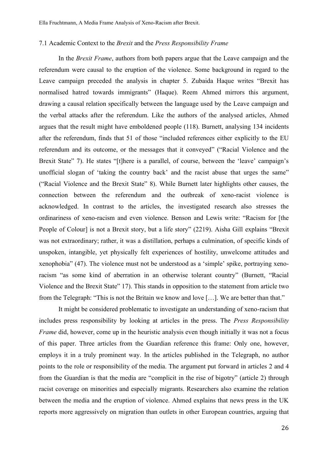### 7.1 Academic Context to the *Brexit* and the *Press Responsibility Frame*

In the *Brexit Frame*, authors from both papers argue that the Leave campaign and the referendum were causal to the eruption of the violence. Some background in regard to the Leave campaign preceded the analysis in chapter 5. Zubaida Haque writes "Brexit has normalised hatred towards immigrants" (Haque). Reem Ahmed mirrors this argument, drawing a causal relation specifically between the language used by the Leave campaign and the verbal attacks after the referendum. Like the authors of the analysed articles, Ahmed argues that the result might have emboldened people (118). Burnett, analysing 134 incidents after the referendum, finds that 51 of those "included references either explicitly to the EU referendum and its outcome, or the messages that it conveyed" ("Racial Violence and the Brexit State" 7). He states "[t]here is a parallel, of course, between the 'leave' campaign's unofficial slogan of 'taking the country back' and the racist abuse that urges the same" ("Racial Violence and the Brexit State" 8). While Burnett later highlights other causes, the connection between the referendum and the outbreak of xeno-racist violence is acknowledged. In contrast to the articles, the investigated research also stresses the ordinariness of xeno-racism and even violence. Benson and Lewis write: "Racism for [the People of Colour] is not a Brexit story, but a life story" (2219). Aisha Gill explains "Brexit was not extraordinary; rather, it was a distillation, perhaps a culmination, of specific kinds of unspoken, intangible, yet physically felt experiences of hostility, unwelcome attitudes and xenophobia" (47). The violence must not be understood as a 'simple' spike, portraying xenoracism "as some kind of aberration in an otherwise tolerant country" (Burnett, "Racial Violence and the Brexit State" 17). This stands in opposition to the statement from article two from the Telegraph: "This is not the Britain we know and love […]. We are better than that."

It might be considered problematic to investigate an understanding of xeno-racism that includes press responsibility by looking at articles in the press. The *Press Responsibility Frame* did, however, come up in the heuristic analysis even though initially it was not a focus of this paper. Three articles from the Guardian reference this frame: Only one, however, employs it in a truly prominent way. In the articles published in the Telegraph, no author points to the role or responsibility of the media. The argument put forward in articles 2 and 4 from the Guardian is that the media are "complicit in the rise of bigotry" (article 2) through racist coverage on minorities and especially migrants. Researchers also examine the relation between the media and the eruption of violence. Ahmed explains that news press in the UK reports more aggressively on migration than outlets in other European countries, arguing that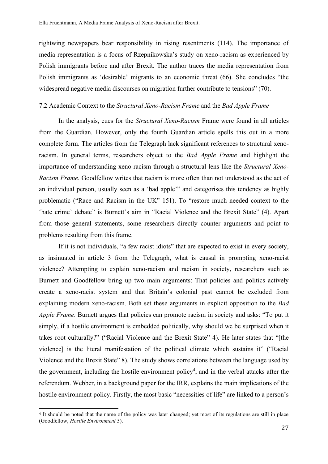rightwing newspapers bear responsibility in rising resentments (114). The importance of media representation is a focus of Rzepnikowska's study on xeno-racism as experienced by Polish immigrants before and after Brexit. The author traces the media representation from Polish immigrants as 'desirable' migrants to an economic threat (66). She concludes "the widespread negative media discourses on migration further contribute to tensions" (70).

# 7.2 Academic Context to the *Structural Xeno-Racism Frame* and the *Bad Apple Frame*

In the analysis, cues for the *Structural Xeno-Racism* Frame were found in all articles from the Guardian. However, only the fourth Guardian article spells this out in a more complete form. The articles from the Telegraph lack significant references to structural xenoracism. In general terms, researchers object to the *Bad Apple Frame* and highlight the importance of understanding xeno-racism through a structural lens like the *Structural Xeno-Racism Frame*. Goodfellow writes that racism is more often than not understood as the act of an individual person, usually seen as a 'bad apple'" and categorises this tendency as highly problematic ("Race and Racism in the UK" 151). To "restore much needed context to the 'hate crime' debate" is Burnett's aim in "Racial Violence and the Brexit State" (4). Apart from those general statements, some researchers directly counter arguments and point to problems resulting from this frame.

If it is not individuals, "a few racist idiots" that are expected to exist in every society, as insinuated in article 3 from the Telegraph, what is causal in prompting xeno-racist violence? Attempting to explain xeno-racism and racism in society, researchers such as Burnett and Goodfellow bring up two main arguments: That policies and politics actively create a xeno-racist system and that Britain's colonial past cannot be excluded from explaining modern xeno-racism. Both set these arguments in explicit opposition to the *Bad Apple Frame*. Burnett argues that policies can promote racism in society and asks: "To put it simply, if a hostile environment is embedded politically, why should we be surprised when it takes root culturally?" ("Racial Violence and the Brexit State" 4). He later states that "[the violence] is the literal manifestation of the political climate which sustains it" ("Racial Violence and the Brexit State" 8). The study shows correlations between the language used by the government, including the hostile environment policy<sup>4</sup>, and in the verbal attacks after the referendum. Webber, in a background paper for the IRR, explains the main implications of the hostile environment policy. Firstly, the most basic "necessities of life" are linked to a person's

<sup>4</sup> It should be noted that the name of the policy was later changed; yet most of its regulations are still in place (Goodfellow, *Hostile Environment* 5).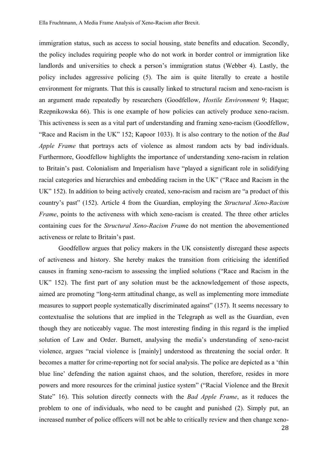immigration status, such as access to social housing, state benefits and education. Secondly, the policy includes requiring people who do not work in border control or immigration like landlords and universities to check a person's immigration status (Webber 4). Lastly, the policy includes aggressive policing (5). The aim is quite literally to create a hostile environment for migrants. That this is causally linked to structural racism and xeno-racism is an argument made repeatedly by researchers (Goodfellow, *Hostile Environment* 9; Haque; Rzepnikowska 66). This is one example of how policies can actively produce xeno-racism. This activeness is seen as a vital part of understanding and framing xeno-racism (Goodfellow, "Race and Racism in the UK" 152; Kapoor 1033). It is also contrary to the notion of the *Bad Apple Frame* that portrays acts of violence as almost random acts by bad individuals. Furthermore, Goodfellow highlights the importance of understanding xeno-racism in relation to Britain's past. Colonialism and Imperialism have "played a significant role in solidifying racial categories and hierarchies and embedding racism in the UK" ("Race and Racism in the UK" 152). In addition to being actively created, xeno-racism and racism are "a product of this country's past" (152). Article 4 from the Guardian, employing the *Structural Xeno-Racism Frame*, points to the activeness with which xeno-racism is created. The three other articles containing cues for the *Structural Xeno-Racism Fram*e do not mention the abovementioned activeness or relate to Britain's past.

Goodfellow argues that policy makers in the UK consistently disregard these aspects of activeness and history. She hereby makes the transition from criticising the identified causes in framing xeno-racism to assessing the implied solutions ("Race and Racism in the UK" 152). The first part of any solution must be the acknowledgement of those aspects, aimed are promoting "long-term attitudinal change, as well as implementing more immediate measures to support people systematically discriminated against" (157). It seems necessary to contextualise the solutions that are implied in the Telegraph as well as the Guardian, even though they are noticeably vague. The most interesting finding in this regard is the implied solution of Law and Order. Burnett, analysing the media's understanding of xeno-racist violence, argues "racial violence is [mainly] understood as threatening the social order. It becomes a matter for crime-reporting not for social analysis. The police are depicted as a 'thin blue line' defending the nation against chaos, and the solution, therefore, resides in more powers and more resources for the criminal justice system" ("Racial Violence and the Brexit State" 16). This solution directly connects with the *Bad Apple Frame*, as it reduces the problem to one of individuals, who need to be caught and punished (2). Simply put, an increased number of police officers will not be able to critically review and then change xeno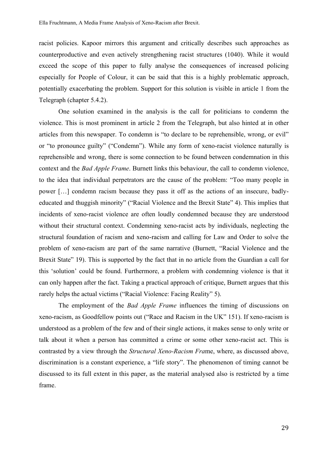racist policies. Kapoor mirrors this argument and critically describes such approaches as counterproductive and even actively strengthening racist structures (1040). While it would exceed the scope of this paper to fully analyse the consequences of increased policing especially for People of Colour, it can be said that this is a highly problematic approach, potentially exacerbating the problem. Support for this solution is visible in article 1 from the Telegraph (chapter 5.4.2).

One solution examined in the analysis is the call for politicians to condemn the violence. This is most prominent in article 2 from the Telegraph, but also hinted at in other articles from this newspaper. To condemn is "to declare to be reprehensible, wrong, or evil" or "to pronounce guilty" ("Condemn"). While any form of xeno-racist violence naturally is reprehensible and wrong, there is some connection to be found between condemnation in this context and the *Bad Apple Frame*. Burnett links this behaviour, the call to condemn violence, to the idea that individual perpetrators are the cause of the problem: "Too many people in power […] condemn racism because they pass it off as the actions of an insecure, badlyeducated and thuggish minority" ("Racial Violence and the Brexit State" 4). This implies that incidents of xeno-racist violence are often loudly condemned because they are understood without their structural context. Condemning xeno-racist acts by individuals, neglecting the structural foundation of racism and xeno-racism and calling for Law and Order to solve the problem of xeno-racism are part of the same narrative (Burnett, "Racial Violence and the Brexit State" 19). This is supported by the fact that in no article from the Guardian a call for this 'solution' could be found. Furthermore, a problem with condemning violence is that it can only happen after the fact. Taking a practical approach of critique, Burnett argues that this rarely helps the actual victims ("Racial Violence: Facing Reality" 5).

The employment of the *Bad Apple Frame* influences the timing of discussions on xeno-racism, as Goodfellow points out ("Race and Racism in the UK" 151). If xeno-racism is understood as a problem of the few and of their single actions, it makes sense to only write or talk about it when a person has committed a crime or some other xeno-racist act. This is contrasted by a view through the *Structural Xeno-Racism Fra*me, where, as discussed above, discrimination is a constant experience, a "life story". The phenomenon of timing cannot be discussed to its full extent in this paper, as the material analysed also is restricted by a time frame.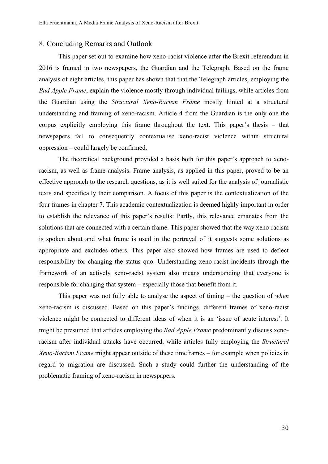### 8. Concluding Remarks and Outlook

This paper set out to examine how xeno-racist violence after the Brexit referendum in 2016 is framed in two newspapers, the Guardian and the Telegraph. Based on the frame analysis of eight articles, this paper has shown that that the Telegraph articles, employing the *Bad Apple Frame*, explain the violence mostly through individual failings, while articles from the Guardian using the *Structural Xeno-Racism Frame* mostly hinted at a structural understanding and framing of xeno-racism. Article 4 from the Guardian is the only one the corpus explicitly employing this frame throughout the text. This paper's thesis – that newspapers fail to consequently contextualise xeno-racist violence within structural oppression – could largely be confirmed.

The theoretical background provided a basis both for this paper's approach to xenoracism, as well as frame analysis. Frame analysis, as applied in this paper, proved to be an effective approach to the research questions, as it is well suited for the analysis of journalistic texts and specifically their comparison. A focus of this paper is the contextualization of the four frames in chapter 7. This academic contextualization is deemed highly important in order to establish the relevance of this paper's results: Partly, this relevance emanates from the solutions that are connected with a certain frame. This paper showed that the way xeno-racism is spoken about and what frame is used in the portrayal of it suggests some solutions as appropriate and excludes others. This paper also showed how frames are used to deflect responsibility for changing the status quo. Understanding xeno-racist incidents through the framework of an actively xeno-racist system also means understanding that everyone is responsible for changing that system – especially those that benefit from it.

This paper was not fully able to analyse the aspect of timing – the question of *when* xeno-racism is discussed. Based on this paper's findings, different frames of xeno-racist violence might be connected to different ideas of when it is an 'issue of acute interest'. It might be presumed that articles employing the *Bad Apple Frame* predominantly discuss xenoracism after individual attacks have occurred, while articles fully employing the *Structural Xeno-Racism Frame* might appear outside of these timeframes – for example when policies in regard to migration are discussed. Such a study could further the understanding of the problematic framing of xeno-racism in newspapers.

30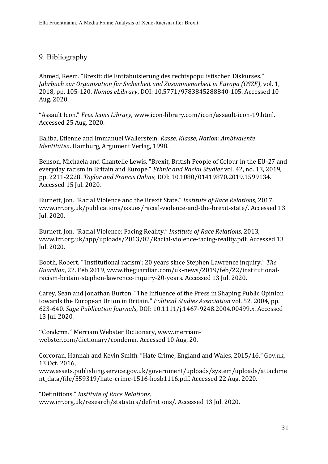# 9. Bibliography

Ahmed, Reem. "Brexit: die Enttabuisierung des rechtspopulistischen Diskurses." *Jahrbuch zur Organisation für Sicherheit und Zusammenarbeit in Europa (OSZE)*, vol. 1, 2018, pp. 105-120. *Nomos eLibrary*, DOI: 10.5771/9783845288840-105. Accessed 10 Aug. 2020.

"Assault Icon." *Free Icons Library*, www.icon-library.com/icon/assault-icon-19.html. Accessed 25 Aug. 2020.

Baliba, Etienne and Immanuel Wallerstein. *Rasse, Klasse, Nation: Ambivalente Identitäten*. Hamburg, Argument Verlag, 1998.

Benson, Michaela and Chantelle Lewis. "Brexit, British People of Colour in the EU-27 and everyday racism in Britain and Europe." *Ethnic and Racial Studies* vol. 42, no. 13, 2019, pp. 2211-2228. *Taylor and Francis Online*, DOI: 10.1080/01419870.2019.1599134. Accessed 15 Jul. 2020.

Burnett, Jon. "Racial Violence and the Brexit State." *Institute of Race Relations*, 2017, www.irr.org.uk/publications/issues/racial-violence-and-the-brexit-state/. Accessed 13 Jul. 2020.

Burnett, Jon. "Racial Violence: Facing Reality." *Institute of Race Relations*, 2013, www.irr.org.uk/app/uploads/2013/02/Racial-violence-facing-reality.pdf. Accessed 13 Jul. 2020.

Booth, Robert. "'Institutional racism': 20 years since Stephen Lawrence inquiry." *The Guardian*, 22. Feb 2019, www.theguardian.com/uk-news/2019/feb/22/institutionalracism-britain-stephen-lawrence-inquiry-20-years. Accessed 13 Jul. 2020.

Carey, Sean and Jonathan Burton. "The Influence of the Press in Shaping Public Opinion towards the European Union in Britain." *Political Studies Association* vol. 52, 2004, pp. 623-640. *Sage Publication Journals*, DOI: 10.1111/j.1467-9248.2004.00499.x. Accessed 13 Jul. 2020.

"Condemn." Merriam Webster Dictionary, www.merriamwebster.com/dictionary/condemn. Accessed 10 Aug. 20.

Corcoran, Hannah and Kevin Smith. "Hate Crime, England and Wales, 2015/16." Gov.uk, 13 Oct. 2016,

www.assets.publishing.service.gov.uk/government/uploads/system/uploads/attachme nt\_data/file/559319/hate-crime-1516-hosb1116.pdf. Accessed 22 Aug. 2020.

"Definitions." *Institute of Race Relations,* www.irr.org.uk/research/statistics/definitions/. Accessed 13 Jul. 2020.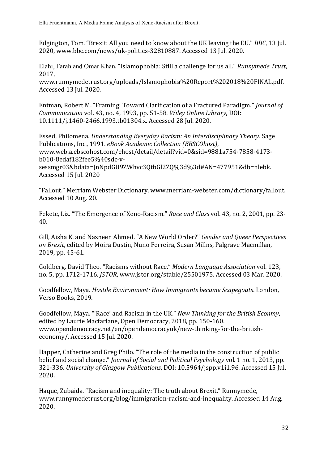Edgington, Tom. "Brexit: All you need to know about the UK leaving the EU." *BBC*, 13 Jul. 2020, www.bbc.com/news/uk-politics-32810887. Accessed 13 Jul. 2020.

Elahi, Farah and Omar Khan. "Islamophobia: Still a challenge for us all." *Runnymede Trust*, 2017,

www.runnymedetrust.org/uploads/Islamophobia%20Report%202018%20FINAL.pdf. Accessed 13 Jul. 2020.

Entman, Robert M. "Framing: Toward Clarification of a Fractured Paradigm." *Journal of Communication* vol. 43, no. 4, 1993, pp. 51-58. *Wiley Online Library*, DOI: 10.1111/j.1460-2466.1993.tb01304.x. Accessed 28 Jul. 2020.

Essed, Philomena. *Understanding Everyday Racism: An Interdisciplinary Theory*. Sage Publications, Inc., 1991. *eBook Academic Collection (EBSCOhost)*, www.web.a.ebscohost.com/ehost/detail/detail?vid=0&sid=9881a754-7858-4173 b010-8edaf182fee5%40sdc-v-

sessmgr03&bdata=JnNpdGU9ZWhvc3QtbGl2ZQ%3d%3d#AN=477951&db=nlebk. Accessed 15 Jul. 2020

"Fallout." Merriam Webster Dictionary, www.merriam-webster.com/dictionary/fallout. Accessed 10 Aug. 20.

Fekete, Liz. "The Emergence of Xeno-Racism." *Race and Class* vol. 43, no. 2, 2001, pp. 23- 40.

Gill, Aisha K. and Nazneen Ahmed. "A New World Order?" *Gender and Queer Perspectives on Brexit*, edited by Moira Dustin, Nuno Ferreira, Susan Millns, Palgrave Macmillan, 2019, pp. 45-61.

Goldberg, David Theo. "Racisms without Race." *Modern Language Association* vol. 123, no. 5, pp. 1712-1716. *JSTOR*, www.jstor.org/stable/25501975. Accessed 03 Mar. 2020.

Goodfellow, Maya. *Hostile Environment: How Immigrants became Scapegoats*. London, Verso Books, 2019.

Goodfellow, Maya. "'Race' and Racism in the UK." *New Thinking for the British Econmy*, edited by Laurie Macfarlane, Open Democracy, 2018, pp. 150-160. www.opendemocracy.net/en/opendemocracyuk/new-thinking-for-the-britisheconomy/. Accessed 15 Jul. 2020.

Happer, Catherine and Greg Philo. "The role of the media in the construction of public belief and social change." *Journal of Social and Political Psychology* vol. 1 no. 1, 2013, pp. 321-336. *University of Glasgow Publications*, DOI: 10.5964/jspp.v1i1.96. Accessed 15 Jul. 2020.

Haque, Zubaida. "Racism and inequality: The truth about Brexit." Runnymede, www.runnymedetrust.org/blog/immigration-racism-and-inequality. Accessed 14 Aug. 2020.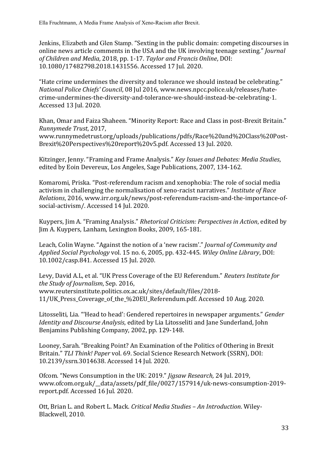Jenkins, Elizabeth and Glen Stamp. "Sexting in the public domain: competing discourses in online news article comments in the USA and the UK involving teenage sexting." *Journal of Children and Media*, 2018, pp. 1-17. *Taylor and Francis Online*, DOI: 10.1080/17482798.2018.1431556. Accessed 17 Jul. 2020.

"Hate crime undermines the diversity and tolerance we should instead be celebrating." *National Police Chiefs' Council*, 08 Jul 2016, www.news.npcc.police.uk/releases/hatecrime-undermines-the-diversity-and-tolerance-we-should-instead-be-celebrating-1. Accessed 13 Jul. 2020.

Khan, Omar and Faiza Shaheen. "Minority Report: Race and Class in post-Brexit Britain." *Runnymede Trust*, 2017,

www.runnymedetrust.org/uploads/publications/pdfs/Race%20and%20Class%20Post-Brexit%20Perspectives%20report%20v5.pdf. Accessed 13 Jul. 2020.

Kitzinger, Jenny. "Framing and Frame Analysis." *Key Issues and Debates: Media Studies*, edited by Eoin Devereux, Los Angeles, Sage Publications, 2007, 134-162.

Komaromi, Priska. "Post-referendum racism and xenophobia: The role of social media activism in challenging the normalisation of xeno-racist narratives." *Institute of Race Relations*, 2016, www.irr.org.uk/news/post-referendum-racism-and-the-importance-ofsocial-activism/. Accessed 14 Jul. 2020.

Kuypers, Jim A. "Framing Analysis." *Rhetorical Criticism: Perspectives in Action*, edited by Jim A. Kuypers, Lanham, Lexington Books, 2009, 165-181.

Leach, Colin Wayne. "Against the notion of a 'new racism'." *Journal of Community and Applied Social Psychology* vol. 15 no. 6, 2005, pp. 432-445. *Wiley Online Library*, DOI: 10.1002/casp.841. Accessed 15 Jul. 2020.

Levy, David A.L, et al. "UK Press Coverage of the EU Referendum." *Reuters Institute for the Study of Journalism*, Sep. 2016, www.reutersinstitute.politics.ox.ac.uk/sites/default/files/2018- 11/UK\_Press\_Coverage\_of\_the\_%20EU\_Referendum.pdf. Accessed 10 Aug. 2020.

Litosseliti, Lia. "'Head to head': Gendered repertoires in newspaper arguments." *Gender Identity and Discourse Analysis*, edited by Lia Litosseliti and Jane Sunderland, John Benjamins Publishing Company, 2002, pp. 129-148.

Looney, Sarah. "Breaking Point? An Examination of the Politics of Othering in Brexit Britain." *TLI Think! Paper* vol. 69. Social Science Research Network (SSRN), DOI: 10.2139/ssrn.3014638. Accessed 14 Jul. 2020.

Ofcom. "News Consumption in the UK: 2019." *Jigsaw Research,* 24 Jul. 2019, www.ofcom.org.uk/\_\_data/assets/pdf\_file/0027/157914/uk-news-consumption-2019 report.pdf. Accessed 16 Jul. 2020.

Ott, Brian L. and Robert L. Mack. *Critical Media Studies – An Introduction*. Wiley-Blackwell, 2010.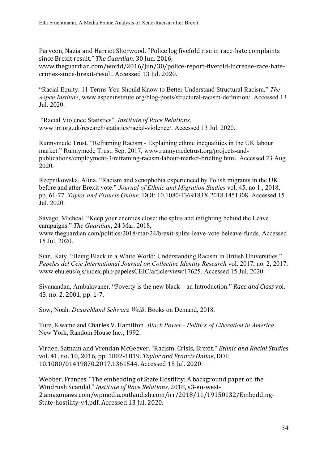Parveen, Nazia and Harriet Sherwood. "Police log fivefold rise in race-hate complaints since Brexit result." *The Guardian*, 30 Jun. 2016, www.theguardian.com/world/2016/jun/30/police-report-fivefold-increase-race-hatecrimes-since-brexit-result. Accessed 13 Jul. 2020.

"Racial Equity: 11 Terms You Should Know to Better Understand Structural Racism." *The Aspen Institute*, www.aspeninstitute.org/blog-posts/structural-racism-definition/. Accessed 13 Jul. 2020.

"Racial Violence Statistics". *Institute of Race Relations*, www.irr.org.uk/research/statistics/racial-violence/. Accessed 13 Jul. 2020.

Runnymede Trust. "Reframing Racism - Explaining ethnic inequalities in the UK labour market." Runnymede Trust, Sep. 2017, www.runnymedetrust.org/projects-andpublications/employment-3/reframing-racism-labour-market-briefing.html. Accessed 23 Aug. 2020.

Rzepnikowska, Alina. "Racism and xenophobia experienced by Polish migrants in the UK before and after Brexit vote." *Journal of Ethnic and Migration Studies* vol. 45, no 1., 2018, pp. 61-77. *Taylor and Francis Online*, DOI: 10.1080/1369183X.2018.1451308. Accessed 15 Jul. 2020.

Savage, Micheal. "Keep your enemies close: the splits and infighting behind the Leave campaigns." *The Guardian*, 24 Mar. 2018, www.theguardian.com/politics/2018/mar/24/brexit-splits-leave-vote-beleave-funds. Accessed 15 Jul. 2020.

Sian, Katy. "Being Black in a White World: Understanding Racism in British Universities." *Pepeles del Ceic International Journal on Collective Identity Research* vol. 2017, no. 2, 2017, www.ehu.eus/ojs/index.php/papelesCEIC/article/view/17625. Accessed 15 Jul. 2020.

Sivanandan, Ambalavaner. "Poverty is the new black – an Introduction." *Race and Class* vol. 43, no. 2, 2001, pp. 1-7.

Sow, Noah. *Deutschland Schwarz Weiß*. Books on Demand, 2018.

Ture, Kwame and Charles V. Hamilton. *Black Power - Politics of Liberation in America*. New York, Random House Inc., 1992.

Virdee, Satnam and Vrendan McGeever. "Racism, Crisis, Brexit." *Ethnic and Racial Studies* vol. 41, no. 10, 2016, pp. 1802-1819. *Taylor and Francis Online*, DOI: 10.1080/01419870.2017.1361544. Accessed 15 Jul. 2020.

Webber, Frances. "The embedding of State Hostility: A background paper on the Windrush Scandal." *Institute of Race Relations*, 2018, s3-eu-west-2.amazonaws.com/wpmedia.outlandish.com/irr/2018/11/19150132/Embedding-State-hostility-v4.pdf. Accessed 13 Jul. 2020.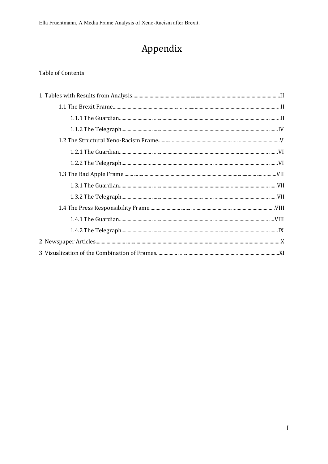Ella Fruchtmann, A Media Frame Analysis of Xeno-Racism after Brexit.

# Appendix

# Table of Contents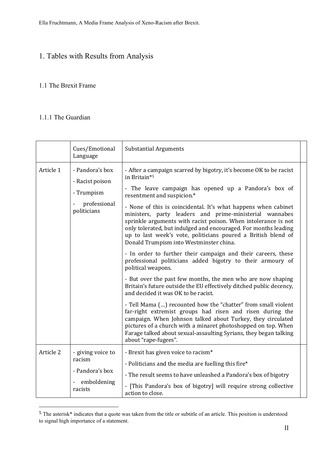Ella Fruchtmann, A Media Frame Analysis of Xeno-Racism after Brexit.

# 1. Tables with Results from Analysis

# 1.1 The Brexit Frame

# 1.1.1 The Guardian

|           | Cues/Emotional<br>Language                                                                               | <b>Substantial Arguments</b>                                                                                                                                                                                                                                                                                                                                                                                                                                                                                                                                                                                                                                                                                                                                                                                                                                                                                                                                                                                                                                                                                                                                                                                                                         |  |
|-----------|----------------------------------------------------------------------------------------------------------|------------------------------------------------------------------------------------------------------------------------------------------------------------------------------------------------------------------------------------------------------------------------------------------------------------------------------------------------------------------------------------------------------------------------------------------------------------------------------------------------------------------------------------------------------------------------------------------------------------------------------------------------------------------------------------------------------------------------------------------------------------------------------------------------------------------------------------------------------------------------------------------------------------------------------------------------------------------------------------------------------------------------------------------------------------------------------------------------------------------------------------------------------------------------------------------------------------------------------------------------------|--|
| Article 1 | - Pandora's box<br>- Racist poison<br>- Trumpism<br>professional<br>politicians                          | - After a campaign scarred by bigotry, it's become OK to be racist<br>in Britain*5<br>- The leave campaign has opened up a Pandora's box of<br>resentment and suspicion.*<br>- None of this is coincidental. It's what happens when cabinet<br>ministers, party leaders and prime-ministerial wannabes<br>sprinkle arguments with racist poison. When intolerance is not<br>only tolerated, but indulged and encouraged. For months leading<br>up to last week's vote, politicians poured a British blend of<br>Donald Trumpism into Westminster china.<br>- In order to further their campaign and their careers, these<br>professional politicians added bigotry to their armoury of<br>political weapons.<br>- But over the past few months, the men who are now shaping<br>Britain's future outside the EU effectively ditched public decency,<br>and decided it was OK to be racist.<br>- Tell Mama () recounted how the "chatter" from small violent<br>far-right extremist groups had risen and risen during the<br>campaign. When Johnson talked about Turkey, they circulated<br>pictures of a church with a minaret photoshopped on top. When<br>Farage talked about sexual-assaulting Syrians, they began talking<br>about "rape-fugees". |  |
| Article 2 | - giving voice to<br>racism<br>- Pandora's box<br>emboldening<br>$\qquad \qquad \blacksquare$<br>racists | - Brexit has given voice to racism*<br>- Politicians and the media are fuelling this fire*<br>- The result seems to have unleashed a Pandora's box of bigotry<br>- [This Pandora's box of bigotry] will require strong collective<br>action to close.                                                                                                                                                                                                                                                                                                                                                                                                                                                                                                                                                                                                                                                                                                                                                                                                                                                                                                                                                                                                |  |

<sup>5</sup> The asterisk\* indicates that a quote was taken from the title or subtitle of an article. This position is understood to signal high importance of a statement.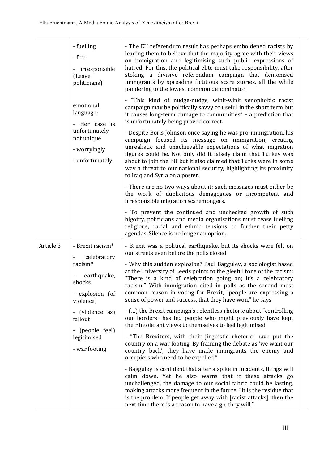|           | - fuelling<br>- fire<br>irresponsible<br>(Leave<br>politicians)                                                                                                                                  | - The EU referendum result has perhaps emboldened racists by<br>leading them to believe that the majority agree with their views<br>on immigration and legitimising such public expressions of<br>hatred. For this, the political elite must take responsibility, after<br>stoking a divisive referendum campaign that demonised<br>immigrants by spreading fictitious scare stories, all the while<br>pandering to the lowest common denominator.                                                                                                                                                                                                                                                                                                                                                                                                                                                                                                                                                                                 |
|-----------|--------------------------------------------------------------------------------------------------------------------------------------------------------------------------------------------------|------------------------------------------------------------------------------------------------------------------------------------------------------------------------------------------------------------------------------------------------------------------------------------------------------------------------------------------------------------------------------------------------------------------------------------------------------------------------------------------------------------------------------------------------------------------------------------------------------------------------------------------------------------------------------------------------------------------------------------------------------------------------------------------------------------------------------------------------------------------------------------------------------------------------------------------------------------------------------------------------------------------------------------|
|           | emotional<br>language:<br>- Her case is                                                                                                                                                          | - "This kind of nudge-nudge, wink-wink xenophobic racist<br>campaign may be politically savvy or useful in the short term but<br>it causes long-term damage to communities" - a prediction that<br>is unfortunately being proved correct.                                                                                                                                                                                                                                                                                                                                                                                                                                                                                                                                                                                                                                                                                                                                                                                          |
|           | unfortunately<br>not unique<br>- worryingly<br>- unfortunately                                                                                                                                   | - Despite Boris Johnson once saying he was pro-immigration, his<br>campaign focused its message on immigration, creating<br>unrealistic and unachievable expectations of what migration<br>figures could be. Not only did it falsely claim that Turkey was<br>about to join the EU but it also claimed that Turks were in some<br>way a threat to our national security, highlighting its proximity<br>to Iraq and Syria on a poster.                                                                                                                                                                                                                                                                                                                                                                                                                                                                                                                                                                                              |
|           |                                                                                                                                                                                                  | - There are no two ways about it: such messages must either be<br>the work of duplicitous demagogues or incompetent and<br>irresponsible migration scaremongers.                                                                                                                                                                                                                                                                                                                                                                                                                                                                                                                                                                                                                                                                                                                                                                                                                                                                   |
|           |                                                                                                                                                                                                  | - To prevent the continued and unchecked growth of such<br>bigotry, politicians and media organisations must cease fuelling<br>religious, racial and ethnic tensions to further their petty<br>agendas. Silence is no longer an option.                                                                                                                                                                                                                                                                                                                                                                                                                                                                                                                                                                                                                                                                                                                                                                                            |
| Article 3 | - Brexit racism*<br>celebratory<br>racism <sup>*</sup><br>earthquake,<br>shocks<br>- explosion (of<br>violence)<br>- (violence as)<br>fallout<br>- (people feel)<br>legitimised<br>- war footing | - Brexit was a political earthquake, but its shocks were felt on<br>our streets even before the polls closed.<br>- Why this sudden explosion? Paul Bagguley, a sociologist based<br>at the University of Leeds points to the gleeful tone of the racism:<br>"There is a kind of celebration going on; it's a celebratory<br>racism." With immigration cited in polls as the second most<br>common reason in voting for Brexit, "people are expressing a<br>sense of power and success, that they have won," he says.<br>- () the Brexit campaign's relentless rhetoric about "controlling<br>our borders" has led people who might previously have kept<br>their intolerant views to themselves to feel legitimised.<br>- "The Brexiters, with their jingoistic rhetoric, have put the<br>country on a war footing. By framing the debate as 'we want our<br>country back', they have made immigrants the enemy and<br>occupiers who need to be expelled."<br>- Bagguley is confident that after a spike in incidents, things will |
|           |                                                                                                                                                                                                  | calm down. Yet he also warns that if these attacks go<br>unchallenged, the damage to our social fabric could be lasting,<br>making attacks more frequent in the future. "It is the residue that<br>is the problem. If people get away with [racist attacks], then the<br>next time there is a reason to have a go, they will."                                                                                                                                                                                                                                                                                                                                                                                                                                                                                                                                                                                                                                                                                                     |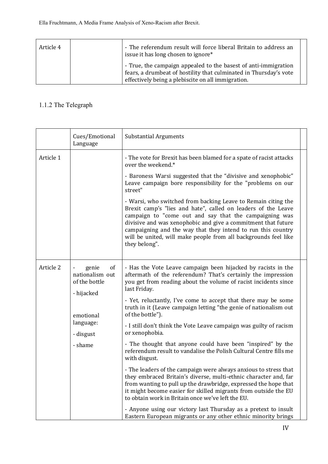| Article 4 | - The referendum result will force liberal Britain to address an<br>issue it has long chosen to ignore*                                                                                    |  |
|-----------|--------------------------------------------------------------------------------------------------------------------------------------------------------------------------------------------|--|
|           | - True, the campaign appealed to the basest of anti-immigration<br>fears, a drumbeat of hostility that culminated in Thursday's vote<br>effectively being a plebiscite on all immigration. |  |

# 1.1.2 The Telegraph

|           | Cues/Emotional<br>Language                                                 | <b>Substantial Arguments</b>                                                                                                                                                                                                                                                                                                                                                                                  |
|-----------|----------------------------------------------------------------------------|---------------------------------------------------------------------------------------------------------------------------------------------------------------------------------------------------------------------------------------------------------------------------------------------------------------------------------------------------------------------------------------------------------------|
| Article 1 |                                                                            | - The vote for Brexit has been blamed for a spate of racist attacks<br>over the weekend.*                                                                                                                                                                                                                                                                                                                     |
|           |                                                                            | - Baroness Warsi suggested that the "divisive and xenophobic"<br>Leave campaign bore responsibility for the "problems on our<br>street"                                                                                                                                                                                                                                                                       |
|           |                                                                            | - Warsi, who switched from backing Leave to Remain citing the<br>Brexit camp's "lies and hate", called on leaders of the Leave<br>campaign to "come out and say that the campaigning was<br>divisive and was xenophobic and give a commitment that future<br>campaigning and the way that they intend to run this country<br>will be united, will make people from all backgrounds feel like<br>they belong". |
| Article 2 | of<br>genie<br>nationalism out<br>of the bottle<br>- hijacked<br>emotional | - Has the Vote Leave campaign been hijacked by racists in the<br>aftermath of the referendum? That's certainly the impression<br>you get from reading about the volume of racist incidents since<br>last Friday.                                                                                                                                                                                              |
|           |                                                                            | - Yet, reluctantly, I've come to accept that there may be some<br>truth in it (Leave campaign letting "the genie of nationalism out<br>of the bottle").                                                                                                                                                                                                                                                       |
|           | language:<br>- disgust                                                     | - I still don't think the Vote Leave campaign was guilty of racism<br>or xenophobia.                                                                                                                                                                                                                                                                                                                          |
|           | - shame                                                                    | - The thought that anyone could have been "inspired" by the<br>referendum result to vandalise the Polish Cultural Centre fills me<br>with disgust.                                                                                                                                                                                                                                                            |
|           |                                                                            | - The leaders of the campaign were always anxious to stress that<br>they embraced Britain's diverse, multi-ethnic character and, far<br>from wanting to pull up the drawbridge, expressed the hope that<br>it might become easier for skilled migrants from outside the EU<br>to obtain work in Britain once we've left the EU.                                                                               |
|           |                                                                            | - Anyone using our victory last Thursday as a pretext to insult<br>Eastern European migrants or any other ethnic minority brings                                                                                                                                                                                                                                                                              |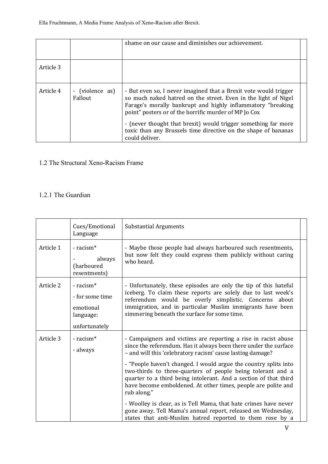|           |                                                      | shame on our cause and diminishes our achievement.                                                                                                                                                                                                                                                                                                                                                                |  |
|-----------|------------------------------------------------------|-------------------------------------------------------------------------------------------------------------------------------------------------------------------------------------------------------------------------------------------------------------------------------------------------------------------------------------------------------------------------------------------------------------------|--|
| Article 3 |                                                      |                                                                                                                                                                                                                                                                                                                                                                                                                   |  |
| Article 4 | (violence as)<br>$\overline{\phantom{a}}$<br>Fallout | - But even so, I never imagined that a Brexit vote would trigger<br>so much naked hatred on the street. Even in the light of Nigel<br>Farage's morally bankrupt and highly inflammatory "breaking"<br>point" posters or of the horrific murder of MP Jo Cox<br>- (never thought that brexit) would trigger something far more<br>toxic than any Brussels time directive on the shape of bananas<br>could deliver. |  |

# 1.2 The Structural Xeno-Racism Frame

# 1.2.1 The Guardian

|           | Cues/Emotional<br>Language                                                          | <b>Substantial Arguments</b>                                                                                                                                                                                                                                                                                                                                                                                                                                                                                                                                                                                                                                                             |  |
|-----------|-------------------------------------------------------------------------------------|------------------------------------------------------------------------------------------------------------------------------------------------------------------------------------------------------------------------------------------------------------------------------------------------------------------------------------------------------------------------------------------------------------------------------------------------------------------------------------------------------------------------------------------------------------------------------------------------------------------------------------------------------------------------------------------|--|
| Article 1 | - racism <sup>*</sup><br>always<br>(harboured<br>resentments)                       | - Maybe those people had always harboured such resentments,<br>but now felt they could express them publicly without caring<br>who heard.                                                                                                                                                                                                                                                                                                                                                                                                                                                                                                                                                |  |
| Article 2 | - racism <sup>*</sup><br>- for some time<br>emotional<br>language:<br>unfortunately | - Unfortunately, these episodes are only the tip of this hateful<br>iceberg. To claim these reports are solely due to last week's<br>referendum would be overly simplistic. Concerns about<br>immigration, and in particular Muslim immigrants have been<br>simmering beneath the surface for some time.                                                                                                                                                                                                                                                                                                                                                                                 |  |
| Article 3 | - racism <sup>*</sup><br>- always                                                   | - Campaigners and victims are reporting a rise in racist abuse<br>since the referendum. Has it always been there under the surface<br>- and will this 'celebratory racism' cause lasting damage?<br>- "People haven't changed. I would argue the country splits into<br>two-thirds to three-quarters of people being tolerant and a<br>quarter to a third being intolerant. And a section of that third<br>have become emboldened. At other times, people are polite and<br>rub along."<br>- Woolley is clear, as is Tell Mama, that hate crimes have never<br>gone away. Tell Mama's annual report, released on Wednesday,<br>states that anti-Muslim hatred reported to them rose by a |  |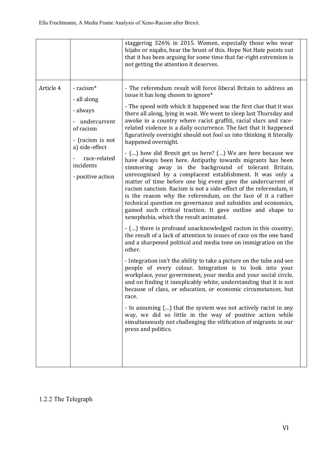|           |                                                                                                                                                           | staggering 326% in 2015. Women, especially those who wear<br>hijabs or niqabs, bear the brunt of this. Hope Not Hate points out<br>that it has been arguing for some time that far-right extremism is<br>not getting the attention it deserves.                                                                                                                                                                                                                                                                                                                                                                                                                                                                                                                                                                                                                                                                                                                                                                                                                                                                                                                                                                                                                                                                                                                                                                                                                                                                                                                                                                                                                                                                                                                                                                                                                                                                                       |
|-----------|-----------------------------------------------------------------------------------------------------------------------------------------------------------|---------------------------------------------------------------------------------------------------------------------------------------------------------------------------------------------------------------------------------------------------------------------------------------------------------------------------------------------------------------------------------------------------------------------------------------------------------------------------------------------------------------------------------------------------------------------------------------------------------------------------------------------------------------------------------------------------------------------------------------------------------------------------------------------------------------------------------------------------------------------------------------------------------------------------------------------------------------------------------------------------------------------------------------------------------------------------------------------------------------------------------------------------------------------------------------------------------------------------------------------------------------------------------------------------------------------------------------------------------------------------------------------------------------------------------------------------------------------------------------------------------------------------------------------------------------------------------------------------------------------------------------------------------------------------------------------------------------------------------------------------------------------------------------------------------------------------------------------------------------------------------------------------------------------------------------|
| Article 4 | - racism*<br>- all along<br>- always<br>undercurrent<br>of racism<br>- (racism is not<br>a) side-effect<br>race-related<br>incidents<br>- positive action | - The referendum result will force liberal Britain to address an<br>issue it has long chosen to ignore*<br>- The speed with which it happened was the first clue that it was<br>there all along, lying in wait. We went to sleep last Thursday and<br>awoke in a country where racist graffiti, racial slurs and race-<br>related violence is a daily occurrence. The fact that it happened<br>figuratively overnight should not fool us into thinking it literally<br>happened overnight.<br>- () how did Brexit get us here? () We are here because we<br>have always been here. Antipathy towards migrants has been<br>simmering away in the background of tolerant Britain,<br>unrecognised by a complacent establishment. It was only a<br>matter of time before one big event gave the undercurrent of<br>racism sanction. Racism is not a side-effect of the referendum, it<br>is the reason why the referendum, on the face of it a rather<br>technical question on governance and subsidies and economics,<br>gained such critical traction. It gave outline and shape to<br>xenophobia, which the result animated.<br>- () there is profound unacknowledged racism in this country;<br>the result of a lack of attention to issues of race on the one hand<br>and a sharpened political and media tone on immigration on the<br>other.<br>- Integration isn't the ability to take a picture on the tube and see<br>people of every colour. Integration is to look into your<br>workplace, your government, your media and your social circle,<br>and on finding it inexplicably white, understanding that it is not<br>because of class, or education, or economic circumstances, but<br>race.<br>- In assuming () that the system was not actively racist in any<br>way, we did so little in the way of positive action while<br>simultaneously not challenging the vilification of migrants in our<br>press and politics. |

# 1.2.2 The Telegraph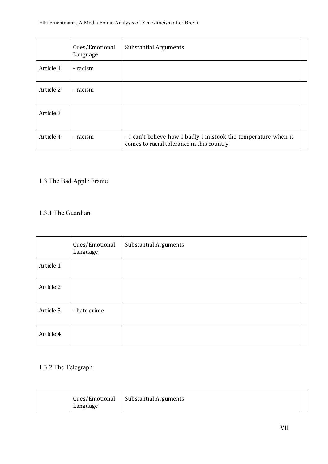|           | Cues/Emotional<br>Language | <b>Substantial Arguments</b>                                                                                  |  |
|-----------|----------------------------|---------------------------------------------------------------------------------------------------------------|--|
| Article 1 | - racism                   |                                                                                                               |  |
| Article 2 | - racism                   |                                                                                                               |  |
| Article 3 |                            |                                                                                                               |  |
| Article 4 | - racism                   | - I can't believe how I badly I mistook the temperature when it<br>comes to racial tolerance in this country. |  |

# 1.3 The Bad Apple Frame

# 1.3.1 The Guardian

|           | Cues/Emotional<br>Language | <b>Substantial Arguments</b> |  |
|-----------|----------------------------|------------------------------|--|
| Article 1 |                            |                              |  |
| Article 2 |                            |                              |  |
| Article 3 | - hate crime               |                              |  |
| Article 4 |                            |                              |  |

# 1.3.2 The Telegraph

|  | Cues/Emotional<br>Language | <b>Substantial Arguments</b> |  |
|--|----------------------------|------------------------------|--|
|--|----------------------------|------------------------------|--|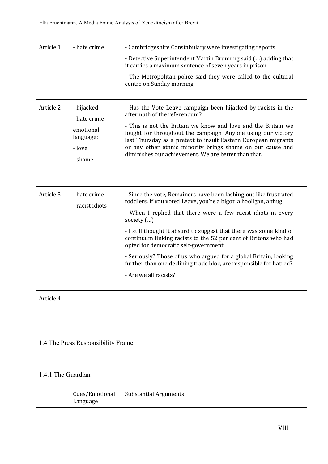| Article 1 | - hate crime                                                              | - Cambridgeshire Constabulary were investigating reports<br>- Detective Superintendent Martin Brunning said () adding that<br>it carries a maximum sentence of seven years in prison.<br>- The Metropolitan police said they were called to the cultural<br>centre on Sunday morning                                                                                                                                                                                                                                                                                          |
|-----------|---------------------------------------------------------------------------|-------------------------------------------------------------------------------------------------------------------------------------------------------------------------------------------------------------------------------------------------------------------------------------------------------------------------------------------------------------------------------------------------------------------------------------------------------------------------------------------------------------------------------------------------------------------------------|
| Article 2 | - hijacked<br>- hate crime<br>emotional<br>language:<br>- love<br>- shame | - Has the Vote Leave campaign been hijacked by racists in the<br>aftermath of the referendum?<br>- This is not the Britain we know and love and the Britain we<br>fought for throughout the campaign. Anyone using our victory<br>last Thursday as a pretext to insult Eastern European migrants<br>or any other ethnic minority brings shame on our cause and<br>diminishes our achievement. We are better than that.                                                                                                                                                        |
| Article 3 | - hate crime<br>- racist idiots                                           | - Since the vote, Remainers have been lashing out like frustrated<br>toddlers. If you voted Leave, you're a bigot, a hooligan, a thug.<br>- When I replied that there were a few racist idiots in every<br>society $()$<br>- I still thought it absurd to suggest that there was some kind of<br>continuum linking racists to the 52 per cent of Britons who had<br>opted for democratic self-government.<br>- Seriously? Those of us who argued for a global Britain, looking<br>further than one declining trade bloc, are responsible for hatred?<br>- Are we all racists? |
| Article 4 |                                                                           |                                                                                                                                                                                                                                                                                                                                                                                                                                                                                                                                                                               |

# 1.4 The Press Responsibility Frame

# 1.4.1 The Guardian

| Cues/Emotional<br>Language | <b>Substantial Arguments</b> |
|----------------------------|------------------------------|
|----------------------------|------------------------------|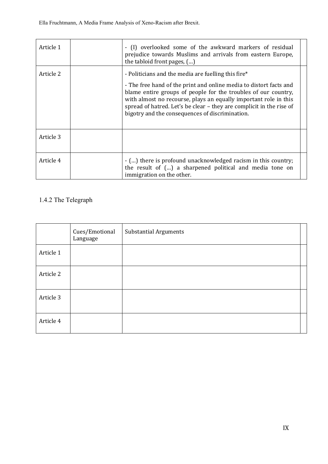| Article 1 | - (I) overlooked some of the awkward markers of residual<br>prejudice towards Muslims and arrivals from eastern Europe,<br>the tabloid front pages, ()                                                                                                                                                                                                                                     |
|-----------|--------------------------------------------------------------------------------------------------------------------------------------------------------------------------------------------------------------------------------------------------------------------------------------------------------------------------------------------------------------------------------------------|
| Article 2 | - Politicians and the media are fuelling this fire*<br>- The free hand of the print and online media to distort facts and<br>blame entire groups of people for the troubles of our country,<br>with almost no recourse, plays an equally important role in this<br>spread of hatred. Let's be clear - they are complicit in the rise of<br>bigotry and the consequences of discrimination. |
| Article 3 |                                                                                                                                                                                                                                                                                                                                                                                            |
| Article 4 | - () there is profound unacknowledged racism in this country;<br>the result of () a sharpened political and media tone on<br>immigration on the other.                                                                                                                                                                                                                                     |

# 1.4.2 The Telegraph

|           | Cues/Emotional<br>Language | <b>Substantial Arguments</b> |  |
|-----------|----------------------------|------------------------------|--|
| Article 1 |                            |                              |  |
| Article 2 |                            |                              |  |
| Article 3 |                            |                              |  |
| Article 4 |                            |                              |  |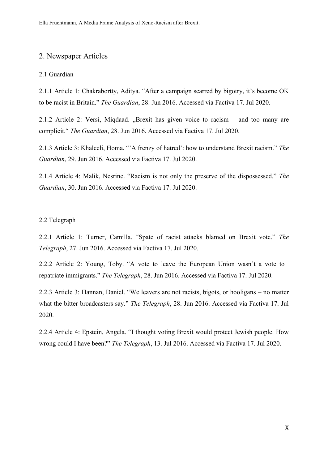# 2. Newspaper Articles

### 2.1 Guardian

2.1.1 Article 1: Chakrabortty, Aditya. "After a campaign scarred by bigotry, it's become OK to be racist in Britain." *The Guardian*, 28. Jun 2016. Accessed via Factiva 17. Jul 2020.

2.1.2 Article 2: Versi, Miqdaad. "Brexit has given voice to racism – and too many are complicit." *The Guardian*, 28. Jun 2016. Accessed via Factiva 17. Jul 2020.

2.1.3 Article 3: Khaleeli, Homa. "'A frenzy of hatred': how to understand Brexit racism." *The Guardian*, 29. Jun 2016. Accessed via Factiva 17. Jul 2020.

2.1.4 Article 4: Malik, Nesrine. "Racism is not only the preserve of the dispossessed." *The Guardian*, 30. Jun 2016. Accessed via Factiva 17. Jul 2020.

# 2.2 Telegraph

2.2.1 Article 1: Turner, Camilla. "Spate of racist attacks blamed on Brexit vote." *The Telegraph*, 27. Jun 2016. Accessed via Factiva 17. Jul 2020.

2.2.2 Article 2: Young, Toby. "A vote to leave the European Union wasn't a vote to repatriate immigrants." *The Telegraph*, 28. Jun 2016. Accessed via Factiva 17. Jul 2020.

2.2.3 Article 3: Hannan, Daniel. "We leavers are not racists, bigots, or hooligans – no matter what the bitter broadcasters say." *The Telegraph*, 28. Jun 2016. Accessed via Factiva 17. Jul 2020.

2.2.4 Article 4: Epstein, Angela. "I thought voting Brexit would protect Jewish people. How wrong could I have been?" *The Telegraph*, 13. Jul 2016. Accessed via Factiva 17. Jul 2020.